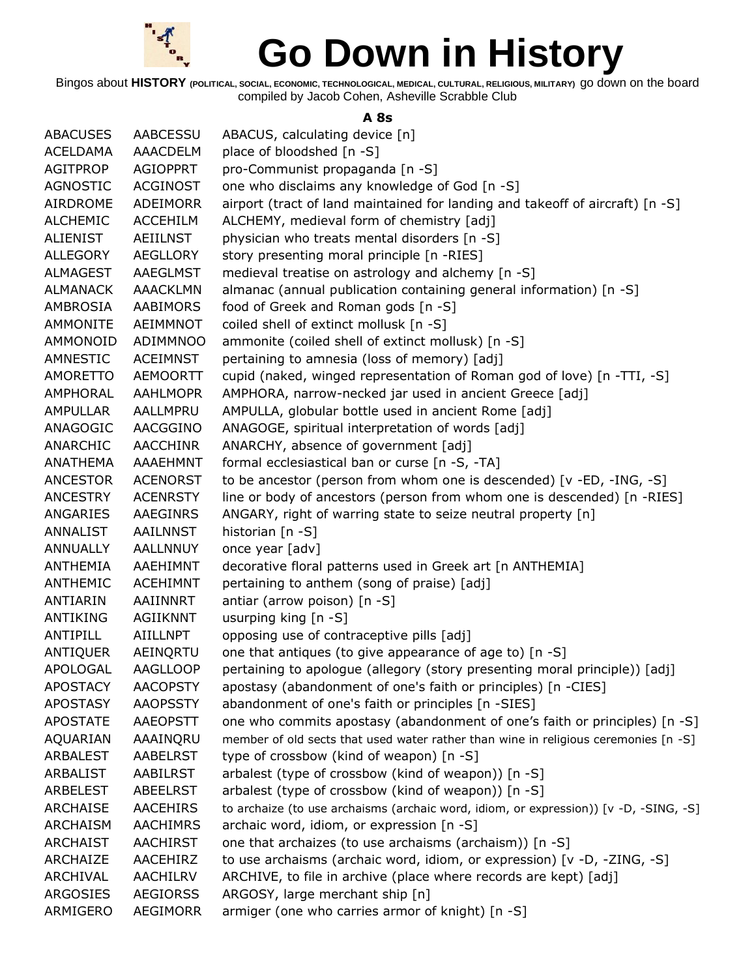

Bingos about **HISTORY (POLITICAL, SOCIAL, ECONOMIC, TECHNOLOGICAL, MEDICAL, CULTURAL, RELIGIOUS, MILITARY)** go down on the board compiled by Jacob Cohen, Asheville Scrabble Club

#### **A 8s**

| <b>ABACUSES</b> | AABCESSU        | ABACUS, calculating device [n]                                                        |
|-----------------|-----------------|---------------------------------------------------------------------------------------|
| <b>ACELDAMA</b> | AAACDELM        | place of bloodshed [n -S]                                                             |
| <b>AGITPROP</b> | <b>AGIOPPRT</b> | pro-Communist propaganda [n -S]                                                       |
| <b>AGNOSTIC</b> | <b>ACGINOST</b> | one who disclaims any knowledge of God [n -S]                                         |
| AIRDROME        | ADEIMORR        | airport (tract of land maintained for landing and takeoff of aircraft) [n -S]         |
| <b>ALCHEMIC</b> | <b>ACCEHILM</b> | ALCHEMY, medieval form of chemistry [adj]                                             |
| ALIENIST        | AEIILNST        | physician who treats mental disorders [n -S]                                          |
| <b>ALLEGORY</b> | <b>AEGLLORY</b> | story presenting moral principle [n -RIES]                                            |
| <b>ALMAGEST</b> | <b>AAEGLMST</b> | medieval treatise on astrology and alchemy [n -S]                                     |
| <b>ALMANACK</b> | <b>AAACKLMN</b> | almanac (annual publication containing general information) [n -S]                    |
| AMBROSIA        | AABIMORS        | food of Greek and Roman gods [n -S]                                                   |
| <b>AMMONITE</b> | AEIMMNOT        | coiled shell of extinct mollusk [n -S]                                                |
| AMMONOID        | ADIMMNOO        | ammonite (coiled shell of extinct mollusk) [n -S]                                     |
| AMNESTIC        | <b>ACEIMNST</b> | pertaining to amnesia (loss of memory) [adj]                                          |
| <b>AMORETTO</b> | <b>AEMOORTT</b> | cupid (naked, winged representation of Roman god of love) [n -TTI, -S]                |
| AMPHORAL        | <b>AAHLMOPR</b> | AMPHORA, narrow-necked jar used in ancient Greece [adj]                               |
| <b>AMPULLAR</b> | AALLMPRU        | AMPULLA, globular bottle used in ancient Rome [adj]                                   |
| ANAGOGIC        | AACGGINO        | ANAGOGE, spiritual interpretation of words [adj]                                      |
| ANARCHIC        | <b>AACCHINR</b> | ANARCHY, absence of government [adj]                                                  |
| <b>ANATHEMA</b> | AAAEHMNT        | formal ecclesiastical ban or curse [n -S, -TA]                                        |
| <b>ANCESTOR</b> | <b>ACENORST</b> | to be ancestor (person from whom one is descended) [v -ED, -ING, -S]                  |
| <b>ANCESTRY</b> | <b>ACENRSTY</b> | line or body of ancestors (person from whom one is descended) [n -RIES]               |
| ANGARIES        | AAEGINRS        | ANGARY, right of warring state to seize neutral property [n]                          |
| ANNALIST        | AAILNNST        | historian $[n - S]$                                                                   |
| ANNUALLY        | <b>AALLNNUY</b> |                                                                                       |
|                 |                 | once year [adv]                                                                       |
| ANTHEMIA        | AAEHIMNT        | decorative floral patterns used in Greek art [n ANTHEMIA]                             |
| <b>ANTHEMIC</b> | <b>ACEHIMNT</b> | pertaining to anthem (song of praise) [adj]                                           |
| ANTIARIN        | AAIINNRT        | antiar (arrow poison) [n -S]                                                          |
| ANTIKING        | <b>AGIIKNNT</b> | usurping king [n -S]                                                                  |
| ANTIPILL        | AIILLNPT        | opposing use of contraceptive pills [adj]                                             |
| ANTIQUER        | AEINQRTU        | one that antiques (to give appearance of age to) [n -S]                               |
| APOLOGAL        | AAGLLOOP        | pertaining to apologue (allegory (story presenting moral principle)) [adj]            |
| <b>APOSTACY</b> | <b>AACOPSTY</b> | apostasy (abandonment of one's faith or principles) [n -CIES]                         |
| <b>APOSTASY</b> | <b>AAOPSSTY</b> | abandonment of one's faith or principles [n -SIES]                                    |
| <b>APOSTATE</b> | <b>AAEOPSTT</b> | one who commits apostasy (abandonment of one's faith or principles) [n -S]            |
| AQUARIAN        | AAAINQRU        | member of old sects that used water rather than wine in religious ceremonies [n -S]   |
| ARBALEST        | <b>AABELRST</b> | type of crossbow (kind of weapon) $[n -S]$                                            |
| ARBALIST        | AABILRST        | arbalest (type of crossbow (kind of weapon)) [n -S]                                   |
| ARBELEST        | <b>ABEELRST</b> | arbalest (type of crossbow (kind of weapon)) [n -S]                                   |
| <b>ARCHAISE</b> | <b>AACEHIRS</b> | to archaize (to use archaisms (archaic word, idiom, or expression)) [v -D, -SING, -S] |
| <b>ARCHAISM</b> | <b>AACHIMRS</b> | archaic word, idiom, or expression [n -S]                                             |
| <b>ARCHAIST</b> | <b>AACHIRST</b> | one that archaizes (to use archaisms (archaism)) [n -S]                               |
| ARCHAIZE        | AACEHIRZ        | to use archaisms (archaic word, idiom, or expression) [v -D, -ZING, -S]               |
| ARCHIVAL        | AACHILRV        | ARCHIVE, to file in archive (place where records are kept) [adj]                      |
| <b>ARGOSIES</b> | <b>AEGIORSS</b> | ARGOSY, large merchant ship [n]                                                       |
| ARMIGERO        | <b>AEGIMORR</b> | armiger (one who carries armor of knight) [n -S]                                      |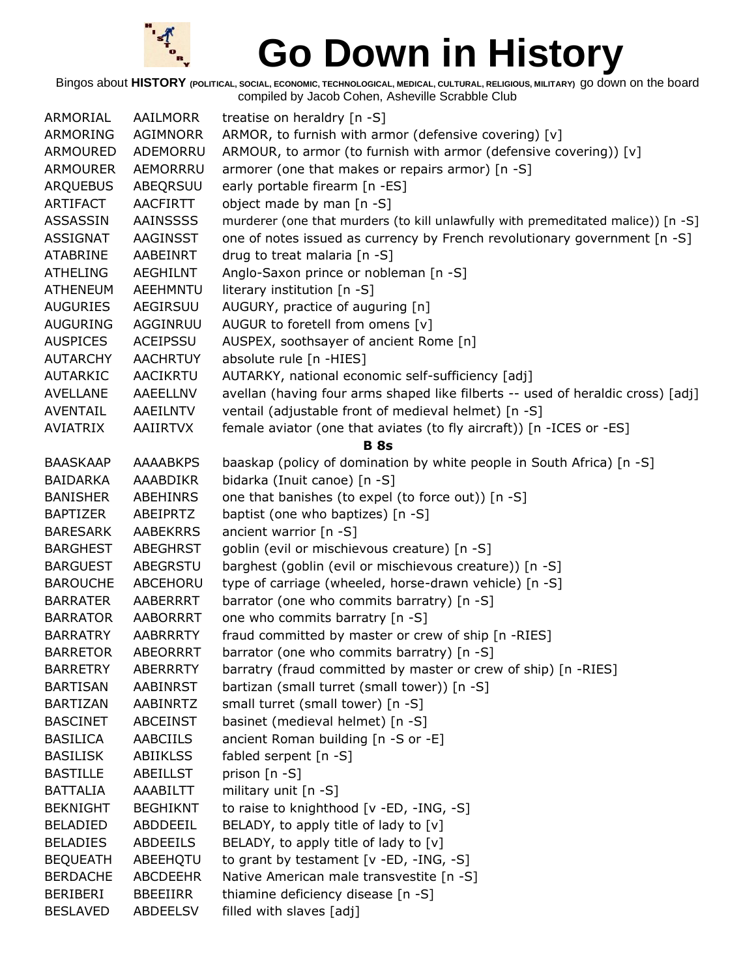

| ARMORIAL        | AAILMORR        | treatise on heraldry [n -S]                                                      |
|-----------------|-----------------|----------------------------------------------------------------------------------|
| ARMORING        | AGIMNORR        | ARMOR, to furnish with armor (defensive covering) [v]                            |
| ARMOURED        | ADEMORRU        | ARMOUR, to armor (to furnish with armor (defensive covering)) [v]                |
| ARMOURER        | AEMORRRU        | armorer (one that makes or repairs armor) [n -S]                                 |
| <b>ARQUEBUS</b> | ABEQRSUU        | early portable firearm [n -ES]                                                   |
| ARTIFACT        | <b>AACFIRTT</b> | object made by man [n -S]                                                        |
| <b>ASSASSIN</b> | <b>AAINSSSS</b> | murderer (one that murders (to kill unlawfully with premeditated malice)) [n -S] |
| <b>ASSIGNAT</b> | AAGINSST        | one of notes issued as currency by French revolutionary government [n -S]        |
| <b>ATABRINE</b> | AABEINRT        | drug to treat malaria [n -S]                                                     |
| <b>ATHELING</b> | <b>AEGHILNT</b> | Anglo-Saxon prince or nobleman [n -S]                                            |
| <b>ATHENEUM</b> | <b>AEEHMNTU</b> | literary institution [n -S]                                                      |
| <b>AUGURIES</b> | AEGIRSUU        | AUGURY, practice of auguring [n]                                                 |
| <b>AUGURING</b> | AGGINRUU        | AUGUR to foretell from omens [v]                                                 |
| <b>AUSPICES</b> | <b>ACEIPSSU</b> | AUSPEX, soothsayer of ancient Rome [n]                                           |
| <b>AUTARCHY</b> | <b>AACHRTUY</b> | absolute rule [n -HIES]                                                          |
| AUTARKIC        | AACIKRTU        | AUTARKY, national economic self-sufficiency [adj]                                |
| <b>AVELLANE</b> | AAEELLNV        | avellan (having four arms shaped like filberts -- used of heraldic cross) [adj]  |
| AVENTAIL        | AAEILNTV        | ventail (adjustable front of medieval helmet) [n -S]                             |
| <b>AVIATRIX</b> | <b>AAIIRTVX</b> | female aviator (one that aviates (to fly aircraft)) [n -ICES or -ES]             |
|                 |                 | <b>B</b> 8s                                                                      |
| <b>BAASKAAP</b> | <b>AAAABKPS</b> | baaskap (policy of domination by white people in South Africa) [n -S]            |
| <b>BAIDARKA</b> | AAABDIKR        | bidarka (Inuit canoe) [n -S]                                                     |
| <b>BANISHER</b> | ABEHINRS        | one that banishes (to expel (to force out)) [n -S]                               |
| <b>BAPTIZER</b> | ABEIPRTZ        | baptist (one who baptizes) [n -S]                                                |
| <b>BARESARK</b> | <b>AABEKRRS</b> | ancient warrior [n -S]                                                           |
| <b>BARGHEST</b> | ABEGHRST        | goblin (evil or mischievous creature) [n -S]                                     |
| <b>BARGUEST</b> | ABEGRSTU        | barghest (goblin (evil or mischievous creature)) [n -S]                          |
| <b>BAROUCHE</b> | ABCEHORU        | type of carriage (wheeled, horse-drawn vehicle) [n -S]                           |
| <b>BARRATER</b> | AABERRRT        | barrator (one who commits barratry) [n -S]                                       |
| <b>BARRATOR</b> | <b>AABORRRT</b> | one who commits barratry [n -S]                                                  |
| <b>BARRATRY</b> | <b>AABRRRTY</b> | fraud committed by master or crew of ship [n -RIES]                              |
| <b>BARRETOR</b> | <b>ABEORRRT</b> | barrator (one who commits barratry) [n -S]                                       |
| <b>BARRETRY</b> | <b>ABERRRTY</b> | barratry (fraud committed by master or crew of ship) [n -RIES]                   |
| <b>BARTISAN</b> | <b>AABINRST</b> | bartizan (small turret (small tower)) [n -S]                                     |
| <b>BARTIZAN</b> | AABINRTZ        | small turret (small tower) [n -S]                                                |
| <b>BASCINET</b> | <b>ABCEINST</b> | basinet (medieval helmet) [n -S]                                                 |
| <b>BASILICA</b> | AABCIILS        | ancient Roman building [n -S or -E]                                              |
| <b>BASILISK</b> | <b>ABIIKLSS</b> | fabled serpent [n -S]                                                            |
| <b>BASTILLE</b> | ABEILLST        | prison [n -S]                                                                    |
| <b>BATTALIA</b> | AAABILTT        | military unit [n -S]                                                             |
| <b>BEKNIGHT</b> | <b>BEGHIKNT</b> | to raise to knighthood [v -ED, -ING, -S]                                         |
| <b>BELADIED</b> | ABDDEEIL        | BELADY, to apply title of lady to $[v]$                                          |
| <b>BELADIES</b> | ABDEEILS        | BELADY, to apply title of lady to $[v]$                                          |
| <b>BEQUEATH</b> | ABEEHQTU        | to grant by testament [v -ED, -ING, -S]                                          |
| <b>BERDACHE</b> | <b>ABCDEEHR</b> | Native American male transvestite [n -S]                                         |
| <b>BERIBERI</b> | <b>BBEEIIRR</b> | thiamine deficiency disease [n -S]                                               |
| <b>BESLAVED</b> | <b>ABDEELSV</b> | filled with slaves [adj]                                                         |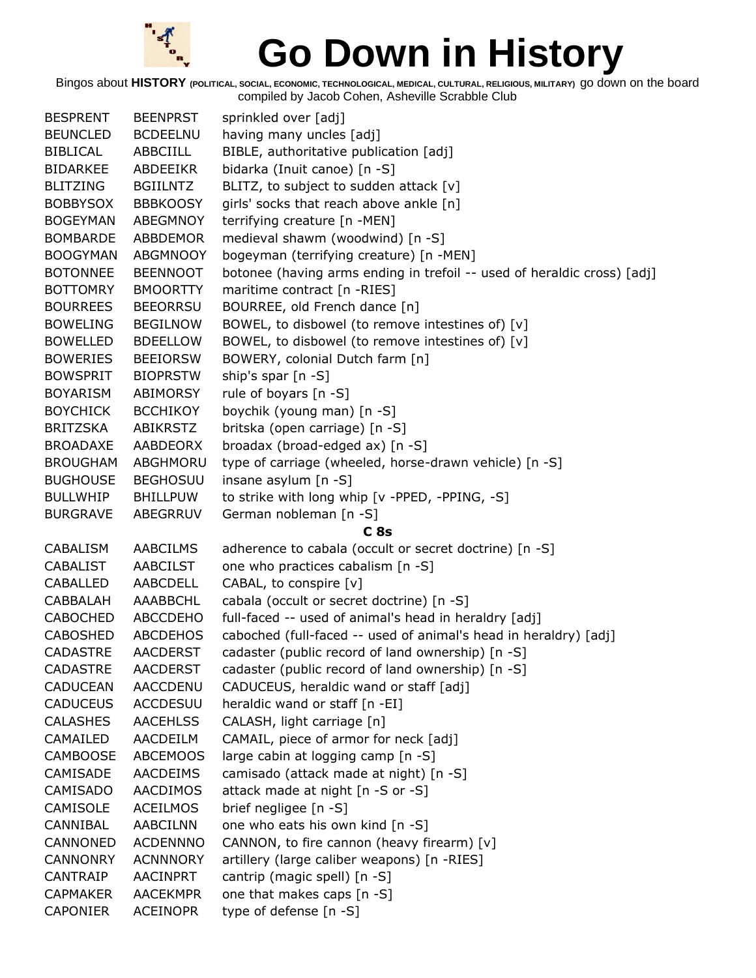

| <b>BESPRENT</b> | <b>BEENPRST</b> | sprinkled over [adj]                                                    |
|-----------------|-----------------|-------------------------------------------------------------------------|
| <b>BEUNCLED</b> | <b>BCDEELNU</b> | having many uncles [adj]                                                |
| BIBLICAL        | ABBCIILL        | BIBLE, authoritative publication [adj]                                  |
| <b>BIDARKEE</b> | ABDEEIKR        | bidarka (Inuit canoe) [n -S]                                            |
| <b>BLITZING</b> | <b>BGIILNTZ</b> | BLITZ, to subject to sudden attack [v]                                  |
| <b>BOBBYSOX</b> | <b>BBBKOOSY</b> | girls' socks that reach above ankle [n]                                 |
| <b>BOGEYMAN</b> | ABEGMNOY        | terrifying creature [n -MEN]                                            |
| <b>BOMBARDE</b> | ABBDEMOR        | medieval shawm (woodwind) [n -S]                                        |
| <b>BOOGYMAN</b> | <b>ABGMNOOY</b> | bogeyman (terrifying creature) [n -MEN]                                 |
| <b>BOTONNEE</b> | <b>BEENNOOT</b> | botonee (having arms ending in trefoil -- used of heraldic cross) [adj] |
| <b>BOTTOMRY</b> | <b>BMOORTTY</b> | maritime contract [n -RIES]                                             |
| <b>BOURREES</b> | <b>BEEORRSU</b> | BOURREE, old French dance [n]                                           |
| <b>BOWELING</b> | <b>BEGILNOW</b> | BOWEL, to disbowel (to remove intestines of) [v]                        |
| <b>BOWELLED</b> | <b>BDEELLOW</b> | BOWEL, to disbowel (to remove intestines of) [v]                        |
| <b>BOWERIES</b> | <b>BEEIORSW</b> | BOWERY, colonial Dutch farm [n]                                         |
| <b>BOWSPRIT</b> | <b>BIOPRSTW</b> | ship's spar [n -S]                                                      |
| <b>BOYARISM</b> | ABIMORSY        | rule of boyars [n -S]                                                   |
| <b>BOYCHICK</b> | <b>BCCHIKOY</b> | boychik (young man) [n -S]                                              |
| BRITZSKA        | ABIKRSTZ        | britska (open carriage) [n -S]                                          |
| <b>BROADAXE</b> | AABDEORX        | broadax (broad-edged ax) [n -S]                                         |
| <b>BROUGHAM</b> | ABGHMORU        | type of carriage (wheeled, horse-drawn vehicle) [n -S]                  |
| <b>BUGHOUSE</b> | <b>BEGHOSUU</b> | insane asylum [n -S]                                                    |
| <b>BULLWHIP</b> | <b>BHILLPUW</b> | to strike with long whip [v -PPED, -PPING, -S]                          |
| <b>BURGRAVE</b> | ABEGRRUV        | German nobleman [n -S]                                                  |
|                 |                 | C <sub>8s</sub>                                                         |
| CABALISM        | <b>AABCILMS</b> | adherence to cabala (occult or secret doctrine) [n -S]                  |
| CABALIST        | AABCILST        | one who practices cabalism [n -S]                                       |
| <b>CABALLED</b> | AABCDELL        | CABAL, to conspire [v]                                                  |
| CABBALAH        | AAABBCHL        | cabala (occult or secret doctrine) [n -S]                               |
| <b>CABOCHED</b> | ABCCDEHO        | full-faced -- used of animal's head in heraldry [adj]                   |
| <b>CABOSHED</b> | <b>ABCDEHOS</b> | caboched (full-faced -- used of animal's head in heraldry) [adj]        |
| <b>CADASTRE</b> | <b>AACDERST</b> | cadaster (public record of land ownership) [n -S]                       |
| <b>CADASTRE</b> | <b>AACDERST</b> | cadaster (public record of land ownership) [n -S]                       |
| <b>CADUCEAN</b> | AACCDENU        | CADUCEUS, heraldic wand or staff [adj]                                  |
| <b>CADUCEUS</b> | <b>ACCDESUU</b> | heraldic wand or staff [n -EI]                                          |
| <b>CALASHES</b> | <b>AACEHLSS</b> | CALASH, light carriage [n]                                              |
| CAMAILED        | AACDEILM        | CAMAIL, piece of armor for neck [adj]                                   |
| <b>CAMBOOSE</b> | <b>ABCEMOOS</b> | large cabin at logging camp [n -S]                                      |
| CAMISADE        | <b>AACDEIMS</b> | camisado (attack made at night) [n -S]                                  |
| CAMISADO        | <b>AACDIMOS</b> | attack made at night [n -S or -S]                                       |
| <b>CAMISOLE</b> | <b>ACEILMOS</b> | brief negligee [n -S]                                                   |
| CANNIBAL        | <b>AABCILNN</b> | one who eats his own kind [n -S]                                        |
| CANNONED        | <b>ACDENNNO</b> | CANNON, to fire cannon (heavy firearm) [v]                              |
| <b>CANNONRY</b> | <b>ACNNNORY</b> | artillery (large caliber weapons) [n -RIES]                             |
| CANTRAIP        | <b>AACINPRT</b> | cantrip (magic spell) [n -S]                                            |
| <b>CAPMAKER</b> | <b>AACEKMPR</b> | one that makes caps [n -S]                                              |
| <b>CAPONIER</b> | <b>ACEINOPR</b> | type of defense [n -S]                                                  |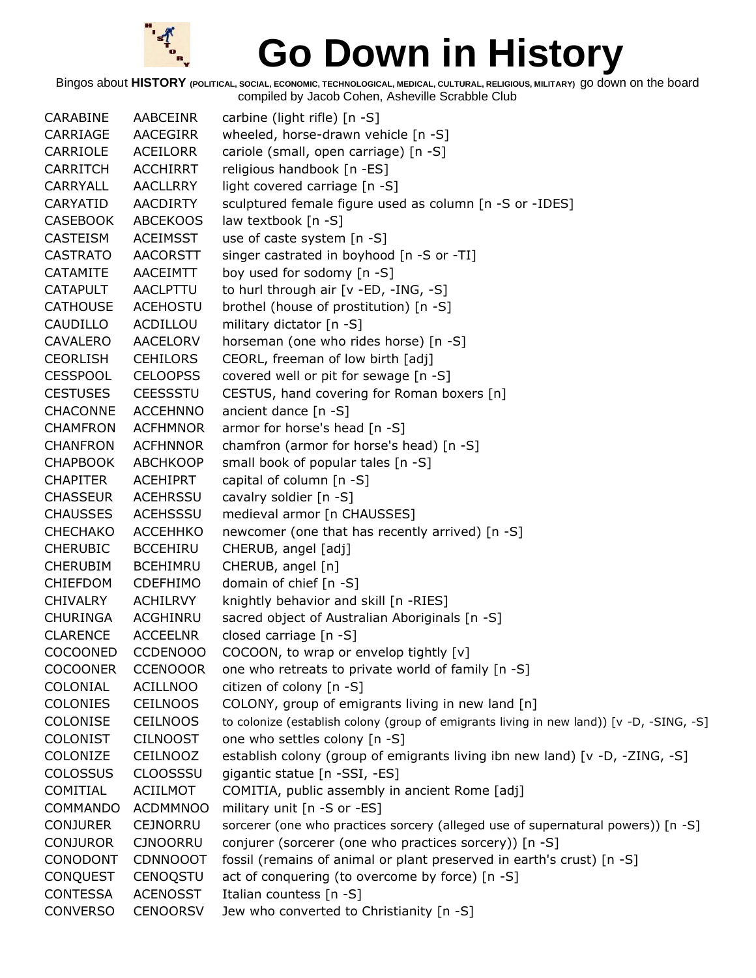

| CARABINE        | AABCEINR        | carbine (light rifle) $[n - S]$                                                          |
|-----------------|-----------------|------------------------------------------------------------------------------------------|
| CARRIAGE        | AACEGIRR        | wheeled, horse-drawn vehicle [n -S]                                                      |
| CARRIOLE        | <b>ACEILORR</b> | cariole (small, open carriage) [n -S]                                                    |
| <b>CARRITCH</b> | <b>ACCHIRRT</b> | religious handbook [n -ES]                                                               |
| CARRYALL        | <b>AACLLRRY</b> | light covered carriage [n -S]                                                            |
| CARYATID        | <b>AACDIRTY</b> | sculptured female figure used as column [n -S or -IDES]                                  |
| <b>CASEBOOK</b> | <b>ABCEKOOS</b> | law textbook [n -S]                                                                      |
| <b>CASTEISM</b> | <b>ACEIMSST</b> | use of caste system [n -S]                                                               |
| <b>CASTRATO</b> | <b>AACORSTT</b> | singer castrated in boyhood [n -S or -TI]                                                |
| <b>CATAMITE</b> | AACEIMTT        | boy used for sodomy [n -S]                                                               |
| <b>CATAPULT</b> | <b>AACLPTTU</b> | to hurl through air [v -ED, -ING, -S]                                                    |
| <b>CATHOUSE</b> | <b>ACEHOSTU</b> | brothel (house of prostitution) [n -S]                                                   |
| CAUDILLO        | ACDILLOU        | military dictator [n -S]                                                                 |
| CAVALERO        | AACELORV        | horseman (one who rides horse) [n -S]                                                    |
| <b>CEORLISH</b> | <b>CEHILORS</b> | CEORL, freeman of low birth [adj]                                                        |
| <b>CESSPOOL</b> | <b>CELOOPSS</b> | covered well or pit for sewage [n -S]                                                    |
| <b>CESTUSES</b> | <b>CEESSSTU</b> | CESTUS, hand covering for Roman boxers [n]                                               |
| <b>CHACONNE</b> | <b>ACCEHNNO</b> | ancient dance [n -S]                                                                     |
| <b>CHAMFRON</b> | <b>ACFHMNOR</b> | armor for horse's head [n -S]                                                            |
| <b>CHANFRON</b> | <b>ACFHNNOR</b> | chamfron (armor for horse's head) [n -S]                                                 |
| <b>CHAPBOOK</b> | <b>ABCHKOOP</b> | small book of popular tales [n -S]                                                       |
| <b>CHAPITER</b> | <b>ACEHIPRT</b> | capital of column [n -S]                                                                 |
| <b>CHASSEUR</b> | <b>ACEHRSSU</b> | cavalry soldier [n -S]                                                                   |
| <b>CHAUSSES</b> | <b>ACEHSSSU</b> | medieval armor [n CHAUSSES]                                                              |
| <b>CHECHAKO</b> | <b>ACCEHHKO</b> | newcomer (one that has recently arrived) [n -S]                                          |
| <b>CHERUBIC</b> | <b>BCCEHIRU</b> | CHERUB, angel [adj]                                                                      |
| <b>CHERUBIM</b> | <b>BCEHIMRU</b> | CHERUB, angel [n]                                                                        |
| <b>CHIEFDOM</b> | <b>CDEFHIMO</b> | domain of chief [n -S]                                                                   |
| <b>CHIVALRY</b> | <b>ACHILRVY</b> | knightly behavior and skill [n -RIES]                                                    |
| <b>CHURINGA</b> | ACGHINRU        | sacred object of Australian Aboriginals [n -S]                                           |
| <b>CLARENCE</b> | <b>ACCEELNR</b> | closed carriage [n -S]                                                                   |
| <b>COCOONED</b> | <b>CCDENOOO</b> | COCOON, to wrap or envelop tightly [v]                                                   |
| <b>COCOONER</b> | <b>CCENOOOR</b> | one who retreats to private world of family [n -S]                                       |
| COLONIAL        | <b>ACILLNOO</b> | citizen of colony [n -S]                                                                 |
| <b>COLONIES</b> | <b>CEILNOOS</b> | COLONY, group of emigrants living in new land [n]                                        |
| COLONISE        | <b>CEILNOOS</b> | to colonize (establish colony (group of emigrants living in new land)) [v -D, -SING, -S] |
| <b>COLONIST</b> | <b>CILNOOST</b> | one who settles colony [n -S]                                                            |
| COLONIZE        | CEILNOOZ        | establish colony (group of emigrants living ibn new land) [v -D, -ZING, -S]              |
| <b>COLOSSUS</b> | <b>CLOOSSSU</b> | gigantic statue [n -SSI, -ES]                                                            |
| COMITIAL        | <b>ACIILMOT</b> | COMITIA, public assembly in ancient Rome [adj]                                           |
| <b>COMMANDO</b> | <b>ACDMMNOO</b> | military unit [n -S or -ES]                                                              |
| <b>CONJURER</b> | <b>CEJNORRU</b> | sorcerer (one who practices sorcery (alleged use of supernatural powers)) [n -S]         |
| <b>CONJUROR</b> | <b>CJNOORRU</b> | conjurer (sorcerer (one who practices sorcery)) [n -S]                                   |
| CONODONT        | <b>CDNNOOOT</b> | fossil (remains of animal or plant preserved in earth's crust) [n -S]                    |
| <b>CONQUEST</b> | <b>CENOQSTU</b> | act of conquering (to overcome by force) [n -S]                                          |
| <b>CONTESSA</b> | <b>ACENOSST</b> | Italian countess [n -S]                                                                  |
| <b>CONVERSO</b> | <b>CENOORSV</b> | Jew who converted to Christianity [n -S]                                                 |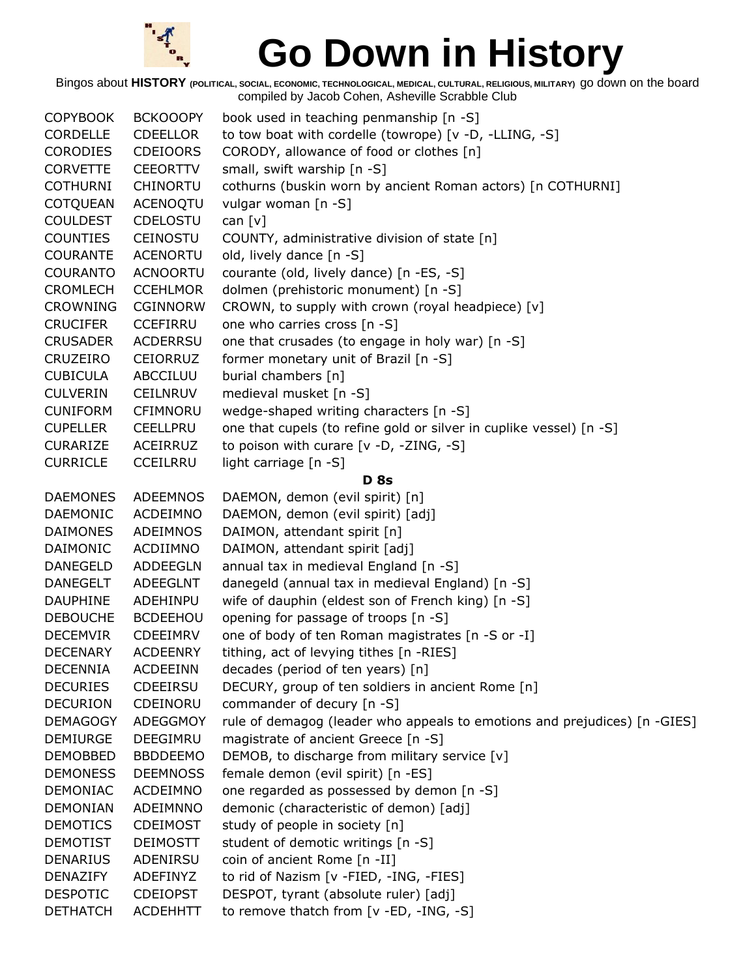

| <b>COPYBOOK</b> | <b>BCKOOOPY</b> | book used in teaching penmanship [n -S]                                   |
|-----------------|-----------------|---------------------------------------------------------------------------|
| <b>CORDELLE</b> | CDEELLOR        | to tow boat with cordelle (towrope) [v -D, -LLING, -S]                    |
| <b>CORODIES</b> | <b>CDEIOORS</b> | CORODY, allowance of food or clothes [n]                                  |
| <b>CORVETTE</b> | <b>CEEORTTV</b> | small, swift warship [n -S]                                               |
| <b>COTHURNI</b> | <b>CHINORTU</b> | cothurns (buskin worn by ancient Roman actors) [n COTHURNI]               |
| COTQUEAN        | ACENOQTU        | vulgar woman [n -S]                                                       |
| <b>COULDEST</b> | <b>CDELOSTU</b> | can $[v]$                                                                 |
| <b>COUNTIES</b> | CEINOSTU        | COUNTY, administrative division of state [n]                              |
| <b>COURANTE</b> | <b>ACENORTU</b> | old, lively dance [n -S]                                                  |
| <b>COURANTO</b> | <b>ACNOORTU</b> | courante (old, lively dance) [n -ES, -S]                                  |
| <b>CROMLECH</b> | <b>CCEHLMOR</b> | dolmen (prehistoric monument) [n -S]                                      |
| <b>CROWNING</b> | CGINNORW        | CROWN, to supply with crown (royal headpiece) [v]                         |
| <b>CRUCIFER</b> | <b>CCEFIRRU</b> | one who carries cross [n -S]                                              |
| <b>CRUSADER</b> | <b>ACDERRSU</b> | one that crusades (to engage in holy war) [n -S]                          |
| CRUZEIRO        | CEIORRUZ        | former monetary unit of Brazil [n -S]                                     |
| <b>CUBICULA</b> | ABCCILUU        | burial chambers [n]                                                       |
| <b>CULVERIN</b> | <b>CEILNRUV</b> | medieval musket [n -S]                                                    |
| <b>CUNIFORM</b> | CFIMNORU        | wedge-shaped writing characters [n -S]                                    |
| <b>CUPELLER</b> | <b>CEELLPRU</b> | one that cupels (to refine gold or silver in cuplike vessel) [n -S]       |
| <b>CURARIZE</b> | ACEIRRUZ        | to poison with curare [v -D, -ZING, -S]                                   |
| <b>CURRICLE</b> | <b>CCEILRRU</b> | light carriage [n -S]                                                     |
|                 |                 | <b>D</b> 8s                                                               |
| <b>DAEMONES</b> | <b>ADEEMNOS</b> | DAEMON, demon (evil spirit) [n]                                           |
| <b>DAEMONIC</b> | ACDEIMNO        | DAEMON, demon (evil spirit) [adj]                                         |
| <b>DAIMONES</b> | <b>ADEIMNOS</b> | DAIMON, attendant spirit [n]                                              |
| DAIMONIC        | ACDIIMNO        | DAIMON, attendant spirit [adj]                                            |
| <b>DANEGELD</b> | <b>ADDEEGLN</b> | annual tax in medieval England [n -S]                                     |
| <b>DANEGELT</b> | <b>ADEEGLNT</b> | danegeld (annual tax in medieval England) [n -S]                          |
| <b>DAUPHINE</b> | ADEHINPU        | wife of dauphin (eldest son of French king) [n -S]                        |
| <b>DEBOUCHE</b> | <b>BCDEEHOU</b> | opening for passage of troops [n -S]                                      |
| <b>DECEMVIR</b> | <b>CDEEIMRV</b> | one of body of ten Roman magistrates [n -S or -I]                         |
| <b>DECENARY</b> | <b>ACDEENRY</b> | tithing, act of levying tithes [n -RIES]                                  |
| <b>DECENNIA</b> | <b>ACDEEINN</b> | decades (period of ten years) [n]                                         |
| <b>DECURIES</b> | CDEEIRSU        | DECURY, group of ten soldiers in ancient Rome [n]                         |
| <b>DECURION</b> | CDEINORU        | commander of decury [n -S]                                                |
| <b>DEMAGOGY</b> | <b>ADEGGMOY</b> | rule of demagog (leader who appeals to emotions and prejudices) [n -GIES] |
| <b>DEMIURGE</b> | DEEGIMRU        | magistrate of ancient Greece [n -S]                                       |
| <b>DEMOBBED</b> | <b>BBDDEEMO</b> | DEMOB, to discharge from military service [v]                             |
| <b>DEMONESS</b> | <b>DEEMNOSS</b> | female demon (evil spirit) [n -ES]                                        |
| <b>DEMONIAC</b> | ACDEIMNO        | one regarded as possessed by demon [n -S]                                 |
| <b>DEMONIAN</b> | ADEIMNNO        | demonic (characteristic of demon) [adj]                                   |
| <b>DEMOTICS</b> | <b>CDEIMOST</b> | study of people in society [n]                                            |
| <b>DEMOTIST</b> | <b>DEIMOSTT</b> | student of demotic writings [n -S]                                        |
| <b>DENARIUS</b> | ADENIRSU        | coin of ancient Rome [n -II]                                              |
| <b>DENAZIFY</b> | ADEFINYZ        | to rid of Nazism [v -FIED, -ING, -FIES]                                   |
| <b>DESPOTIC</b> | <b>CDEIOPST</b> | DESPOT, tyrant (absolute ruler) [adj]                                     |
| <b>DETHATCH</b> | <b>ACDEHHTT</b> | to remove thatch from [v -ED, -ING, -S]                                   |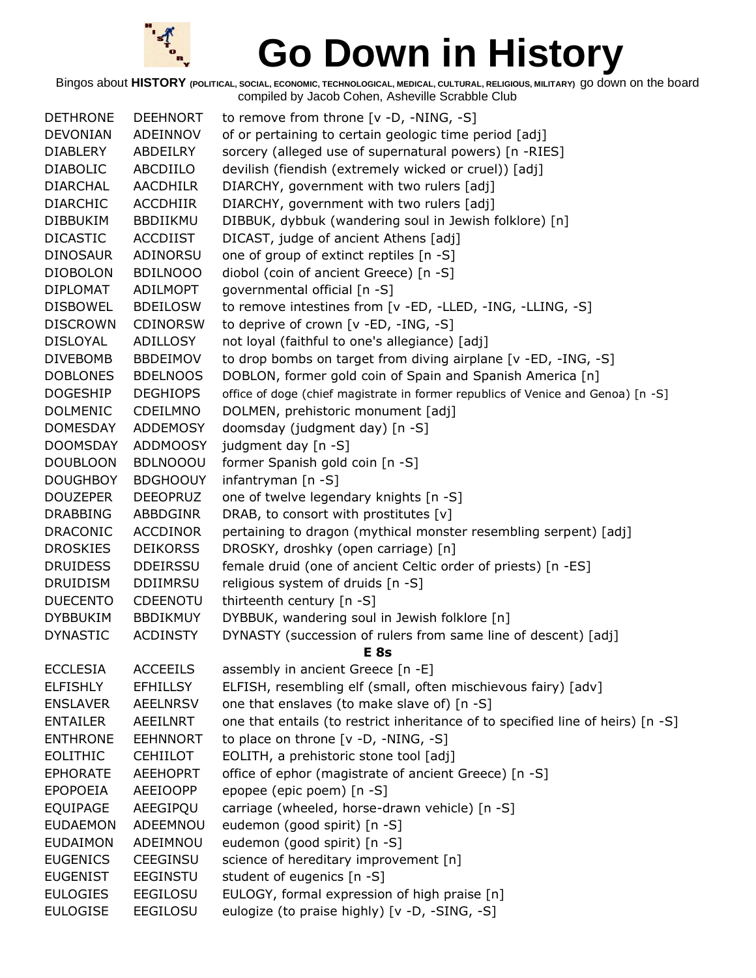

| <b>DETHRONE</b> | <b>DEEHNORT</b> | to remove from throne [v -D, -NING, -S]                                          |
|-----------------|-----------------|----------------------------------------------------------------------------------|
| <b>DEVONIAN</b> | ADEINNOV        | of or pertaining to certain geologic time period [adj]                           |
| <b>DIABLERY</b> | ABDEILRY        | sorcery (alleged use of supernatural powers) [n -RIES]                           |
| <b>DIABOLIC</b> | ABCDIILO        | devilish (fiendish (extremely wicked or cruel)) [adj]                            |
| <b>DIARCHAL</b> | <b>AACDHILR</b> | DIARCHY, government with two rulers [adj]                                        |
| <b>DIARCHIC</b> | <b>ACCDHIIR</b> | DIARCHY, government with two rulers [adj]                                        |
| <b>DIBBUKIM</b> | BBDIIKMU        | DIBBUK, dybbuk (wandering soul in Jewish folklore) [n]                           |
| <b>DICASTIC</b> | <b>ACCDIIST</b> | DICAST, judge of ancient Athens [adj]                                            |
| <b>DINOSAUR</b> | ADINORSU        | one of group of extinct reptiles [n -S]                                          |
| <b>DIOBOLON</b> | <b>BDILNOOO</b> | diobol (coin of ancient Greece) [n -S]                                           |
| <b>DIPLOMAT</b> | ADILMOPT        | governmental official [n -S]                                                     |
| <b>DISBOWEL</b> | <b>BDEILOSW</b> | to remove intestines from [v -ED, -LLED, -ING, -LLING, -S]                       |
| <b>DISCROWN</b> | <b>CDINORSW</b> | to deprive of crown [v -ED, -ING, -S]                                            |
| <b>DISLOYAL</b> | ADILLOSY        | not loyal (faithful to one's allegiance) [adj]                                   |
| <b>DIVEBOMB</b> | <b>BBDEIMOV</b> | to drop bombs on target from diving airplane [v -ED, -ING, -S]                   |
| <b>DOBLONES</b> | <b>BDELNOOS</b> | DOBLON, former gold coin of Spain and Spanish America [n]                        |
| <b>DOGESHIP</b> | <b>DEGHIOPS</b> | office of doge (chief magistrate in former republics of Venice and Genoa) [n -S] |
| <b>DOLMENIC</b> | CDEILMNO        | DOLMEN, prehistoric monument [adj]                                               |
| <b>DOMESDAY</b> | <b>ADDEMOSY</b> | doomsday (judgment day) [n -S]                                                   |
| <b>DOOMSDAY</b> | <b>ADDMOOSY</b> | judgment day [n -S]                                                              |
| <b>DOUBLOON</b> | <b>BDLNOOOU</b> | former Spanish gold coin [n -S]                                                  |
| <b>DOUGHBOY</b> | <b>BDGHOOUY</b> | infantryman [n -S]                                                               |
| <b>DOUZEPER</b> | <b>DEEOPRUZ</b> | one of twelve legendary knights [n -S]                                           |
| <b>DRABBING</b> | ABBDGINR        | DRAB, to consort with prostitutes [v]                                            |
| <b>DRACONIC</b> | <b>ACCDINOR</b> | pertaining to dragon (mythical monster resembling serpent) [adj]                 |
| <b>DROSKIES</b> | <b>DEIKORSS</b> | DROSKY, droshky (open carriage) [n]                                              |
| <b>DRUIDESS</b> | <b>DDEIRSSU</b> | female druid (one of ancient Celtic order of priests) [n -ES]                    |
| <b>DRUIDISM</b> | <b>DDIIMRSU</b> | religious system of druids [n -S]                                                |
| <b>DUECENTO</b> | CDEENOTU        | thirteenth century [n -S]                                                        |
| <b>DYBBUKIM</b> | <b>BBDIKMUY</b> | DYBBUK, wandering soul in Jewish folklore [n]                                    |
| <b>DYNASTIC</b> | <b>ACDINSTY</b> | DYNASTY (succession of rulers from same line of descent) [adj]                   |
|                 |                 | E <sub>8s</sub>                                                                  |
| <b>ECCLESIA</b> | <b>ACCEEILS</b> | assembly in ancient Greece [n -E]                                                |
| <b>ELFISHLY</b> | <b>EFHILLSY</b> | ELFISH, resembling elf (small, often mischievous fairy) [adv]                    |
| <b>ENSLAVER</b> | <b>AEELNRSV</b> | one that enslaves (to make slave of) [n -S]                                      |
| <b>ENTAILER</b> | AEEILNRT        | one that entails (to restrict inheritance of to specified line of heirs) [n -S]  |
| <b>ENTHRONE</b> | <b>EEHNNORT</b> | to place on throne [v -D, -NING, -S]                                             |
| <b>EOLITHIC</b> | <b>CEHIILOT</b> | EOLITH, a prehistoric stone tool [adj]                                           |
| <b>EPHORATE</b> | <b>AEEHOPRT</b> | office of ephor (magistrate of ancient Greece) [n -S]                            |
| <b>EPOPOEIA</b> | <b>AEEIOOPP</b> | epopee (epic poem) [n -S]                                                        |
| <b>EQUIPAGE</b> | AEEGIPQU        | carriage (wheeled, horse-drawn vehicle) [n -S]                                   |
| <b>EUDAEMON</b> | ADEEMNOU        | eudemon (good spirit) [n -S]                                                     |
| <b>EUDAIMON</b> | ADEIMNOU        | eudemon (good spirit) [n -S]                                                     |
| <b>EUGENICS</b> | CEEGINSU        | science of hereditary improvement [n]                                            |
| <b>EUGENIST</b> | <b>EEGINSTU</b> | student of eugenics [n -S]                                                       |
| <b>EULOGIES</b> | <b>EEGILOSU</b> | EULOGY, formal expression of high praise [n]                                     |
| <b>EULOGISE</b> | <b>EEGILOSU</b> | eulogize (to praise highly) [v -D, -SING, -S]                                    |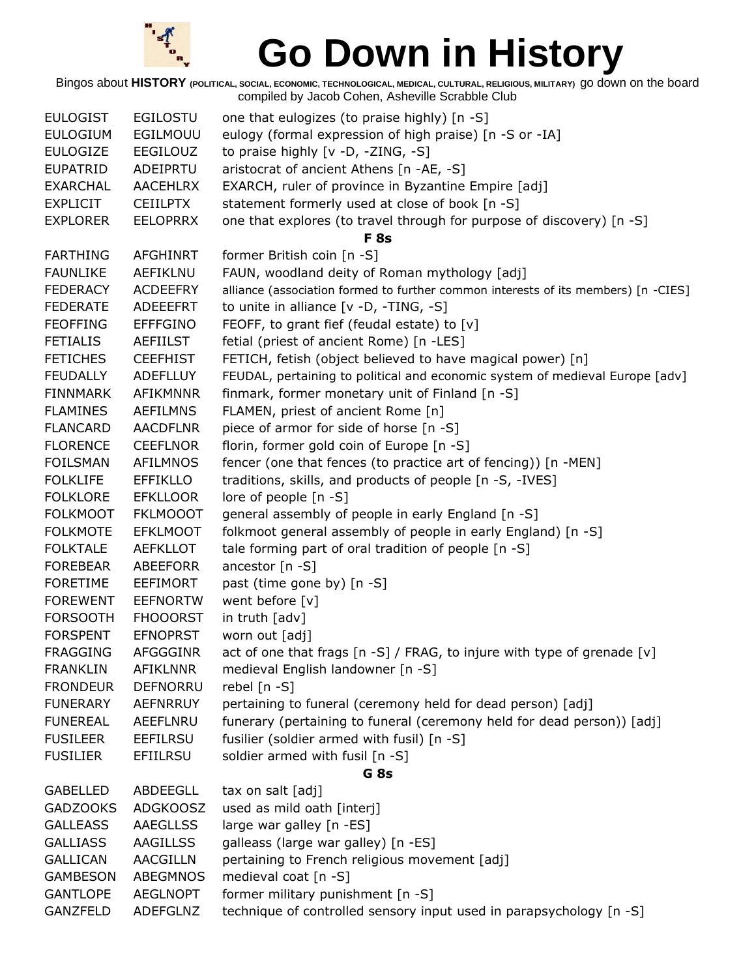

| eulogy (formal expression of high praise) [n -S or -IA]<br><b>EULOGIUM</b><br>EGILMOUU<br><b>EULOGIZE</b><br>EEGILOUZ<br>to praise highly [v -D, -ZING, -S]<br>aristocrat of ancient Athens [n -AE, -S]<br><b>EUPATRID</b><br>ADEIPRTU<br><b>EXARCHAL</b><br><b>AACEHLRX</b><br>EXARCH, ruler of province in Byzantine Empire [adj]<br>statement formerly used at close of book [n -S]<br><b>EXPLICIT</b><br><b>CEIILPTX</b><br>one that explores (to travel through for purpose of discovery) [n -S]<br><b>EXPLORER</b><br><b>EELOPRRX</b><br>F <sub>8s</sub><br><b>AFGHINRT</b><br><b>FARTHING</b><br>former British coin [n -S]<br><b>FAUNLIKE</b><br>FAUN, woodland deity of Roman mythology [adj]<br>AEFIKLNU<br><b>FEDERACY</b><br><b>ACDEEFRY</b><br>alliance (association formed to further common interests of its members) [n -CIES]<br>to unite in alliance $[v -D, -TING, -S]$<br><b>FEDERATE</b><br>ADEEEFRT<br>FEOFF, to grant fief (feudal estate) to [v]<br><b>FEOFFING</b><br><b>EFFFGINO</b><br><b>FETIALIS</b><br>fetial (priest of ancient Rome) [n -LES]<br><b>AEFIILST</b><br>FETICH, fetish (object believed to have magical power) [n]<br><b>FETICHES</b><br><b>CEEFHIST</b><br><b>FEUDALLY</b><br>FEUDAL, pertaining to political and economic system of medieval Europe [adv]<br><b>ADEFLLUY</b><br><b>FINNMARK</b><br><b>AFIKMNNR</b><br>finmark, former monetary unit of Finland [n -S]<br><b>FLAMINES</b><br><b>AEFILMNS</b><br>FLAMEN, priest of ancient Rome [n]<br><b>FLANCARD</b><br><b>AACDFLNR</b><br>piece of armor for side of horse [n -S]<br>florin, former gold coin of Europe [n -S]<br><b>FLORENCE</b><br><b>CEEFLNOR</b><br>fencer (one that fences (to practice art of fencing)) [n -MEN]<br><b>FOILSMAN</b><br><b>AFILMNOS</b><br><b>FOLKLIFE</b><br><b>EFFIKLLO</b><br>traditions, skills, and products of people [n -S, -IVES]<br><b>FOLKLORE</b><br><b>EFKLLOOR</b><br>lore of people [n -S]<br><b>FOLKMOOT</b><br><b>FKLMOOOT</b><br>general assembly of people in early England [n -S]<br>folkmoot general assembly of people in early England) [n -S]<br><b>FOLKMOTE</b><br><b>EFKLMOOT</b><br><b>FOLKTALE</b><br><b>AEFKLLOT</b><br>tale forming part of oral tradition of people [n -S]<br>ancestor [n -S]<br><b>FOREBEAR</b><br>ABEEFORR<br><b>FORETIME</b><br><b>EEFIMORT</b><br>past (time gone by) [n -S]<br><b>FOREWENT</b><br><b>EEFNORTW</b><br>went before [v]<br>in truth [adv]<br><b>FORSOOTH</b><br><b>FHOOORST</b><br><b>FORSPENT</b><br><b>EFNOPRST</b><br>worn out [adj]<br>act of one that frags [n -S] / FRAG, to injure with type of grenade [v]<br><b>FRAGGING</b><br><b>AFGGGINR</b><br><b>AFIKLNNR</b><br><b>FRANKLIN</b><br>medieval English landowner [n -S]<br><b>FRONDEUR</b><br><b>DEFNORRU</b><br>rebel [n -S] |
|-----------------------------------------------------------------------------------------------------------------------------------------------------------------------------------------------------------------------------------------------------------------------------------------------------------------------------------------------------------------------------------------------------------------------------------------------------------------------------------------------------------------------------------------------------------------------------------------------------------------------------------------------------------------------------------------------------------------------------------------------------------------------------------------------------------------------------------------------------------------------------------------------------------------------------------------------------------------------------------------------------------------------------------------------------------------------------------------------------------------------------------------------------------------------------------------------------------------------------------------------------------------------------------------------------------------------------------------------------------------------------------------------------------------------------------------------------------------------------------------------------------------------------------------------------------------------------------------------------------------------------------------------------------------------------------------------------------------------------------------------------------------------------------------------------------------------------------------------------------------------------------------------------------------------------------------------------------------------------------------------------------------------------------------------------------------------------------------------------------------------------------------------------------------------------------------------------------------------------------------------------------------------------------------------------------------------------------------------------------------------------------------------------------------------------------------------------------------------------------------------------------------------------------------------------------------------------------------------------------------------------------------------------------------------------------------------------------------------------------------------------------------------------------------------|
|                                                                                                                                                                                                                                                                                                                                                                                                                                                                                                                                                                                                                                                                                                                                                                                                                                                                                                                                                                                                                                                                                                                                                                                                                                                                                                                                                                                                                                                                                                                                                                                                                                                                                                                                                                                                                                                                                                                                                                                                                                                                                                                                                                                                                                                                                                                                                                                                                                                                                                                                                                                                                                                                                                                                                                                               |
|                                                                                                                                                                                                                                                                                                                                                                                                                                                                                                                                                                                                                                                                                                                                                                                                                                                                                                                                                                                                                                                                                                                                                                                                                                                                                                                                                                                                                                                                                                                                                                                                                                                                                                                                                                                                                                                                                                                                                                                                                                                                                                                                                                                                                                                                                                                                                                                                                                                                                                                                                                                                                                                                                                                                                                                               |
|                                                                                                                                                                                                                                                                                                                                                                                                                                                                                                                                                                                                                                                                                                                                                                                                                                                                                                                                                                                                                                                                                                                                                                                                                                                                                                                                                                                                                                                                                                                                                                                                                                                                                                                                                                                                                                                                                                                                                                                                                                                                                                                                                                                                                                                                                                                                                                                                                                                                                                                                                                                                                                                                                                                                                                                               |
|                                                                                                                                                                                                                                                                                                                                                                                                                                                                                                                                                                                                                                                                                                                                                                                                                                                                                                                                                                                                                                                                                                                                                                                                                                                                                                                                                                                                                                                                                                                                                                                                                                                                                                                                                                                                                                                                                                                                                                                                                                                                                                                                                                                                                                                                                                                                                                                                                                                                                                                                                                                                                                                                                                                                                                                               |
|                                                                                                                                                                                                                                                                                                                                                                                                                                                                                                                                                                                                                                                                                                                                                                                                                                                                                                                                                                                                                                                                                                                                                                                                                                                                                                                                                                                                                                                                                                                                                                                                                                                                                                                                                                                                                                                                                                                                                                                                                                                                                                                                                                                                                                                                                                                                                                                                                                                                                                                                                                                                                                                                                                                                                                                               |
|                                                                                                                                                                                                                                                                                                                                                                                                                                                                                                                                                                                                                                                                                                                                                                                                                                                                                                                                                                                                                                                                                                                                                                                                                                                                                                                                                                                                                                                                                                                                                                                                                                                                                                                                                                                                                                                                                                                                                                                                                                                                                                                                                                                                                                                                                                                                                                                                                                                                                                                                                                                                                                                                                                                                                                                               |
|                                                                                                                                                                                                                                                                                                                                                                                                                                                                                                                                                                                                                                                                                                                                                                                                                                                                                                                                                                                                                                                                                                                                                                                                                                                                                                                                                                                                                                                                                                                                                                                                                                                                                                                                                                                                                                                                                                                                                                                                                                                                                                                                                                                                                                                                                                                                                                                                                                                                                                                                                                                                                                                                                                                                                                                               |
|                                                                                                                                                                                                                                                                                                                                                                                                                                                                                                                                                                                                                                                                                                                                                                                                                                                                                                                                                                                                                                                                                                                                                                                                                                                                                                                                                                                                                                                                                                                                                                                                                                                                                                                                                                                                                                                                                                                                                                                                                                                                                                                                                                                                                                                                                                                                                                                                                                                                                                                                                                                                                                                                                                                                                                                               |
|                                                                                                                                                                                                                                                                                                                                                                                                                                                                                                                                                                                                                                                                                                                                                                                                                                                                                                                                                                                                                                                                                                                                                                                                                                                                                                                                                                                                                                                                                                                                                                                                                                                                                                                                                                                                                                                                                                                                                                                                                                                                                                                                                                                                                                                                                                                                                                                                                                                                                                                                                                                                                                                                                                                                                                                               |
|                                                                                                                                                                                                                                                                                                                                                                                                                                                                                                                                                                                                                                                                                                                                                                                                                                                                                                                                                                                                                                                                                                                                                                                                                                                                                                                                                                                                                                                                                                                                                                                                                                                                                                                                                                                                                                                                                                                                                                                                                                                                                                                                                                                                                                                                                                                                                                                                                                                                                                                                                                                                                                                                                                                                                                                               |
|                                                                                                                                                                                                                                                                                                                                                                                                                                                                                                                                                                                                                                                                                                                                                                                                                                                                                                                                                                                                                                                                                                                                                                                                                                                                                                                                                                                                                                                                                                                                                                                                                                                                                                                                                                                                                                                                                                                                                                                                                                                                                                                                                                                                                                                                                                                                                                                                                                                                                                                                                                                                                                                                                                                                                                                               |
|                                                                                                                                                                                                                                                                                                                                                                                                                                                                                                                                                                                                                                                                                                                                                                                                                                                                                                                                                                                                                                                                                                                                                                                                                                                                                                                                                                                                                                                                                                                                                                                                                                                                                                                                                                                                                                                                                                                                                                                                                                                                                                                                                                                                                                                                                                                                                                                                                                                                                                                                                                                                                                                                                                                                                                                               |
|                                                                                                                                                                                                                                                                                                                                                                                                                                                                                                                                                                                                                                                                                                                                                                                                                                                                                                                                                                                                                                                                                                                                                                                                                                                                                                                                                                                                                                                                                                                                                                                                                                                                                                                                                                                                                                                                                                                                                                                                                                                                                                                                                                                                                                                                                                                                                                                                                                                                                                                                                                                                                                                                                                                                                                                               |
|                                                                                                                                                                                                                                                                                                                                                                                                                                                                                                                                                                                                                                                                                                                                                                                                                                                                                                                                                                                                                                                                                                                                                                                                                                                                                                                                                                                                                                                                                                                                                                                                                                                                                                                                                                                                                                                                                                                                                                                                                                                                                                                                                                                                                                                                                                                                                                                                                                                                                                                                                                                                                                                                                                                                                                                               |
|                                                                                                                                                                                                                                                                                                                                                                                                                                                                                                                                                                                                                                                                                                                                                                                                                                                                                                                                                                                                                                                                                                                                                                                                                                                                                                                                                                                                                                                                                                                                                                                                                                                                                                                                                                                                                                                                                                                                                                                                                                                                                                                                                                                                                                                                                                                                                                                                                                                                                                                                                                                                                                                                                                                                                                                               |
|                                                                                                                                                                                                                                                                                                                                                                                                                                                                                                                                                                                                                                                                                                                                                                                                                                                                                                                                                                                                                                                                                                                                                                                                                                                                                                                                                                                                                                                                                                                                                                                                                                                                                                                                                                                                                                                                                                                                                                                                                                                                                                                                                                                                                                                                                                                                                                                                                                                                                                                                                                                                                                                                                                                                                                                               |
|                                                                                                                                                                                                                                                                                                                                                                                                                                                                                                                                                                                                                                                                                                                                                                                                                                                                                                                                                                                                                                                                                                                                                                                                                                                                                                                                                                                                                                                                                                                                                                                                                                                                                                                                                                                                                                                                                                                                                                                                                                                                                                                                                                                                                                                                                                                                                                                                                                                                                                                                                                                                                                                                                                                                                                                               |
|                                                                                                                                                                                                                                                                                                                                                                                                                                                                                                                                                                                                                                                                                                                                                                                                                                                                                                                                                                                                                                                                                                                                                                                                                                                                                                                                                                                                                                                                                                                                                                                                                                                                                                                                                                                                                                                                                                                                                                                                                                                                                                                                                                                                                                                                                                                                                                                                                                                                                                                                                                                                                                                                                                                                                                                               |
|                                                                                                                                                                                                                                                                                                                                                                                                                                                                                                                                                                                                                                                                                                                                                                                                                                                                                                                                                                                                                                                                                                                                                                                                                                                                                                                                                                                                                                                                                                                                                                                                                                                                                                                                                                                                                                                                                                                                                                                                                                                                                                                                                                                                                                                                                                                                                                                                                                                                                                                                                                                                                                                                                                                                                                                               |
|                                                                                                                                                                                                                                                                                                                                                                                                                                                                                                                                                                                                                                                                                                                                                                                                                                                                                                                                                                                                                                                                                                                                                                                                                                                                                                                                                                                                                                                                                                                                                                                                                                                                                                                                                                                                                                                                                                                                                                                                                                                                                                                                                                                                                                                                                                                                                                                                                                                                                                                                                                                                                                                                                                                                                                                               |
|                                                                                                                                                                                                                                                                                                                                                                                                                                                                                                                                                                                                                                                                                                                                                                                                                                                                                                                                                                                                                                                                                                                                                                                                                                                                                                                                                                                                                                                                                                                                                                                                                                                                                                                                                                                                                                                                                                                                                                                                                                                                                                                                                                                                                                                                                                                                                                                                                                                                                                                                                                                                                                                                                                                                                                                               |
|                                                                                                                                                                                                                                                                                                                                                                                                                                                                                                                                                                                                                                                                                                                                                                                                                                                                                                                                                                                                                                                                                                                                                                                                                                                                                                                                                                                                                                                                                                                                                                                                                                                                                                                                                                                                                                                                                                                                                                                                                                                                                                                                                                                                                                                                                                                                                                                                                                                                                                                                                                                                                                                                                                                                                                                               |
|                                                                                                                                                                                                                                                                                                                                                                                                                                                                                                                                                                                                                                                                                                                                                                                                                                                                                                                                                                                                                                                                                                                                                                                                                                                                                                                                                                                                                                                                                                                                                                                                                                                                                                                                                                                                                                                                                                                                                                                                                                                                                                                                                                                                                                                                                                                                                                                                                                                                                                                                                                                                                                                                                                                                                                                               |
|                                                                                                                                                                                                                                                                                                                                                                                                                                                                                                                                                                                                                                                                                                                                                                                                                                                                                                                                                                                                                                                                                                                                                                                                                                                                                                                                                                                                                                                                                                                                                                                                                                                                                                                                                                                                                                                                                                                                                                                                                                                                                                                                                                                                                                                                                                                                                                                                                                                                                                                                                                                                                                                                                                                                                                                               |
|                                                                                                                                                                                                                                                                                                                                                                                                                                                                                                                                                                                                                                                                                                                                                                                                                                                                                                                                                                                                                                                                                                                                                                                                                                                                                                                                                                                                                                                                                                                                                                                                                                                                                                                                                                                                                                                                                                                                                                                                                                                                                                                                                                                                                                                                                                                                                                                                                                                                                                                                                                                                                                                                                                                                                                                               |
|                                                                                                                                                                                                                                                                                                                                                                                                                                                                                                                                                                                                                                                                                                                                                                                                                                                                                                                                                                                                                                                                                                                                                                                                                                                                                                                                                                                                                                                                                                                                                                                                                                                                                                                                                                                                                                                                                                                                                                                                                                                                                                                                                                                                                                                                                                                                                                                                                                                                                                                                                                                                                                                                                                                                                                                               |
|                                                                                                                                                                                                                                                                                                                                                                                                                                                                                                                                                                                                                                                                                                                                                                                                                                                                                                                                                                                                                                                                                                                                                                                                                                                                                                                                                                                                                                                                                                                                                                                                                                                                                                                                                                                                                                                                                                                                                                                                                                                                                                                                                                                                                                                                                                                                                                                                                                                                                                                                                                                                                                                                                                                                                                                               |
|                                                                                                                                                                                                                                                                                                                                                                                                                                                                                                                                                                                                                                                                                                                                                                                                                                                                                                                                                                                                                                                                                                                                                                                                                                                                                                                                                                                                                                                                                                                                                                                                                                                                                                                                                                                                                                                                                                                                                                                                                                                                                                                                                                                                                                                                                                                                                                                                                                                                                                                                                                                                                                                                                                                                                                                               |
|                                                                                                                                                                                                                                                                                                                                                                                                                                                                                                                                                                                                                                                                                                                                                                                                                                                                                                                                                                                                                                                                                                                                                                                                                                                                                                                                                                                                                                                                                                                                                                                                                                                                                                                                                                                                                                                                                                                                                                                                                                                                                                                                                                                                                                                                                                                                                                                                                                                                                                                                                                                                                                                                                                                                                                                               |
|                                                                                                                                                                                                                                                                                                                                                                                                                                                                                                                                                                                                                                                                                                                                                                                                                                                                                                                                                                                                                                                                                                                                                                                                                                                                                                                                                                                                                                                                                                                                                                                                                                                                                                                                                                                                                                                                                                                                                                                                                                                                                                                                                                                                                                                                                                                                                                                                                                                                                                                                                                                                                                                                                                                                                                                               |
|                                                                                                                                                                                                                                                                                                                                                                                                                                                                                                                                                                                                                                                                                                                                                                                                                                                                                                                                                                                                                                                                                                                                                                                                                                                                                                                                                                                                                                                                                                                                                                                                                                                                                                                                                                                                                                                                                                                                                                                                                                                                                                                                                                                                                                                                                                                                                                                                                                                                                                                                                                                                                                                                                                                                                                                               |
|                                                                                                                                                                                                                                                                                                                                                                                                                                                                                                                                                                                                                                                                                                                                                                                                                                                                                                                                                                                                                                                                                                                                                                                                                                                                                                                                                                                                                                                                                                                                                                                                                                                                                                                                                                                                                                                                                                                                                                                                                                                                                                                                                                                                                                                                                                                                                                                                                                                                                                                                                                                                                                                                                                                                                                                               |
|                                                                                                                                                                                                                                                                                                                                                                                                                                                                                                                                                                                                                                                                                                                                                                                                                                                                                                                                                                                                                                                                                                                                                                                                                                                                                                                                                                                                                                                                                                                                                                                                                                                                                                                                                                                                                                                                                                                                                                                                                                                                                                                                                                                                                                                                                                                                                                                                                                                                                                                                                                                                                                                                                                                                                                                               |
| pertaining to funeral (ceremony held for dead person) [adj]<br><b>FUNERARY</b><br><b>AEFNRRUY</b>                                                                                                                                                                                                                                                                                                                                                                                                                                                                                                                                                                                                                                                                                                                                                                                                                                                                                                                                                                                                                                                                                                                                                                                                                                                                                                                                                                                                                                                                                                                                                                                                                                                                                                                                                                                                                                                                                                                                                                                                                                                                                                                                                                                                                                                                                                                                                                                                                                                                                                                                                                                                                                                                                             |
| funerary (pertaining to funeral (ceremony held for dead person)) [adj]<br><b>FUNEREAL</b><br>AEEFLNRU                                                                                                                                                                                                                                                                                                                                                                                                                                                                                                                                                                                                                                                                                                                                                                                                                                                                                                                                                                                                                                                                                                                                                                                                                                                                                                                                                                                                                                                                                                                                                                                                                                                                                                                                                                                                                                                                                                                                                                                                                                                                                                                                                                                                                                                                                                                                                                                                                                                                                                                                                                                                                                                                                         |
| fusilier (soldier armed with fusil) [n -S]<br><b>FUSILEER</b><br><b>EEFILRSU</b>                                                                                                                                                                                                                                                                                                                                                                                                                                                                                                                                                                                                                                                                                                                                                                                                                                                                                                                                                                                                                                                                                                                                                                                                                                                                                                                                                                                                                                                                                                                                                                                                                                                                                                                                                                                                                                                                                                                                                                                                                                                                                                                                                                                                                                                                                                                                                                                                                                                                                                                                                                                                                                                                                                              |
| soldier armed with fusil [n -S]<br><b>FUSILIER</b><br><b>EFIILRSU</b>                                                                                                                                                                                                                                                                                                                                                                                                                                                                                                                                                                                                                                                                                                                                                                                                                                                                                                                                                                                                                                                                                                                                                                                                                                                                                                                                                                                                                                                                                                                                                                                                                                                                                                                                                                                                                                                                                                                                                                                                                                                                                                                                                                                                                                                                                                                                                                                                                                                                                                                                                                                                                                                                                                                         |
| G <sub>8s</sub>                                                                                                                                                                                                                                                                                                                                                                                                                                                                                                                                                                                                                                                                                                                                                                                                                                                                                                                                                                                                                                                                                                                                                                                                                                                                                                                                                                                                                                                                                                                                                                                                                                                                                                                                                                                                                                                                                                                                                                                                                                                                                                                                                                                                                                                                                                                                                                                                                                                                                                                                                                                                                                                                                                                                                                               |
| <b>GABELLED</b><br>ABDEEGLL<br>tax on salt [adj]                                                                                                                                                                                                                                                                                                                                                                                                                                                                                                                                                                                                                                                                                                                                                                                                                                                                                                                                                                                                                                                                                                                                                                                                                                                                                                                                                                                                                                                                                                                                                                                                                                                                                                                                                                                                                                                                                                                                                                                                                                                                                                                                                                                                                                                                                                                                                                                                                                                                                                                                                                                                                                                                                                                                              |
| <b>GADZOOKS</b><br><b>ADGKOOSZ</b><br>used as mild oath [interj]                                                                                                                                                                                                                                                                                                                                                                                                                                                                                                                                                                                                                                                                                                                                                                                                                                                                                                                                                                                                                                                                                                                                                                                                                                                                                                                                                                                                                                                                                                                                                                                                                                                                                                                                                                                                                                                                                                                                                                                                                                                                                                                                                                                                                                                                                                                                                                                                                                                                                                                                                                                                                                                                                                                              |
| <b>AAEGLLSS</b><br>large war galley [n -ES]<br><b>GALLEASS</b>                                                                                                                                                                                                                                                                                                                                                                                                                                                                                                                                                                                                                                                                                                                                                                                                                                                                                                                                                                                                                                                                                                                                                                                                                                                                                                                                                                                                                                                                                                                                                                                                                                                                                                                                                                                                                                                                                                                                                                                                                                                                                                                                                                                                                                                                                                                                                                                                                                                                                                                                                                                                                                                                                                                                |
| <b>GALLIASS</b><br><b>AAGILLSS</b><br>galleass (large war galley) [n -ES]                                                                                                                                                                                                                                                                                                                                                                                                                                                                                                                                                                                                                                                                                                                                                                                                                                                                                                                                                                                                                                                                                                                                                                                                                                                                                                                                                                                                                                                                                                                                                                                                                                                                                                                                                                                                                                                                                                                                                                                                                                                                                                                                                                                                                                                                                                                                                                                                                                                                                                                                                                                                                                                                                                                     |
| <b>GALLICAN</b><br><b>AACGILLN</b><br>pertaining to French religious movement [adj]                                                                                                                                                                                                                                                                                                                                                                                                                                                                                                                                                                                                                                                                                                                                                                                                                                                                                                                                                                                                                                                                                                                                                                                                                                                                                                                                                                                                                                                                                                                                                                                                                                                                                                                                                                                                                                                                                                                                                                                                                                                                                                                                                                                                                                                                                                                                                                                                                                                                                                                                                                                                                                                                                                           |
| medieval coat [n -S]<br>ABEGMNOS<br><b>GAMBESON</b>                                                                                                                                                                                                                                                                                                                                                                                                                                                                                                                                                                                                                                                                                                                                                                                                                                                                                                                                                                                                                                                                                                                                                                                                                                                                                                                                                                                                                                                                                                                                                                                                                                                                                                                                                                                                                                                                                                                                                                                                                                                                                                                                                                                                                                                                                                                                                                                                                                                                                                                                                                                                                                                                                                                                           |
| former military punishment [n -S]<br><b>GANTLOPE</b><br><b>AEGLNOPT</b>                                                                                                                                                                                                                                                                                                                                                                                                                                                                                                                                                                                                                                                                                                                                                                                                                                                                                                                                                                                                                                                                                                                                                                                                                                                                                                                                                                                                                                                                                                                                                                                                                                                                                                                                                                                                                                                                                                                                                                                                                                                                                                                                                                                                                                                                                                                                                                                                                                                                                                                                                                                                                                                                                                                       |
| technique of controlled sensory input used in parapsychology [n -S]<br>GANZFELD<br>ADEFGLNZ                                                                                                                                                                                                                                                                                                                                                                                                                                                                                                                                                                                                                                                                                                                                                                                                                                                                                                                                                                                                                                                                                                                                                                                                                                                                                                                                                                                                                                                                                                                                                                                                                                                                                                                                                                                                                                                                                                                                                                                                                                                                                                                                                                                                                                                                                                                                                                                                                                                                                                                                                                                                                                                                                                   |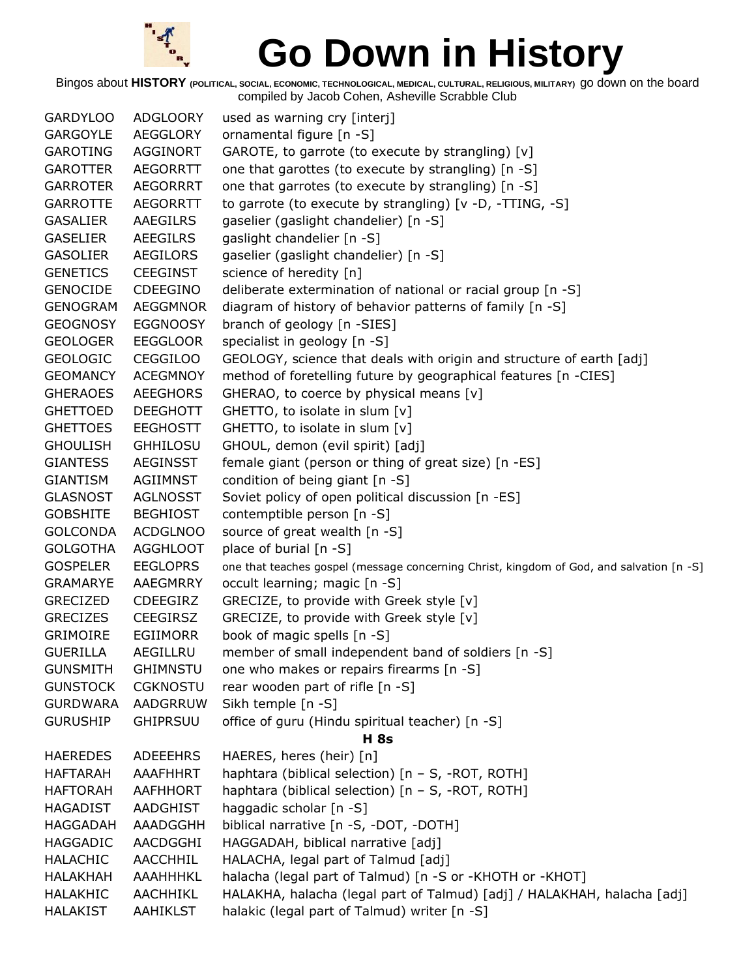

Bingos about **HISTORY (POLITICAL, SOCIAL, ECONOMIC, TECHNOLOGICAL, MEDICAL, CULTURAL, RELIGIOUS, MILITARY)** go down on the board compiled by Jacob Cohen, Asheville Scrabble Club

GARDYLOO ADGLOORY used as warning cry [interj] GARGOYLE AEGGLORY ornamental figure [n -S] GAROTING AGGINORT GAROTE, to garrote (to execute by strangling) [v] GAROTTER AEGORRTT one that garottes (to execute by strangling) [n -S] GARROTER AEGORRRT one that garrotes (to execute by strangling) [n -S] GARROTTE AEGORRTT to garrote (to execute by strangling) [v -D, -TTING, -S] GASALIER AAEGILRS gaselier (gaslight chandelier) [n -S] GASELIER AEEGILRS gaslight chandelier [n -S] GASOLIER AEGILORS gaselier (gaslight chandelier) [n -S] GENETICS CEEGINST science of heredity [n] GENOCIDE CDEEGINO deliberate extermination of national or racial group [n -S] GENOGRAM AEGGMNOR diagram of history of behavior patterns of family [n -S] GEOGNOSY EGGNOOSY branch of geology [n -SIES] GEOLOGER EEGGLOOR specialist in geology [n -S] GEOLOGIC CEGGILOO GEOLOGY, science that deals with origin and structure of earth [adj] GEOMANCY ACEGMNOY method of foretelling future by geographical features [n -CIES] GHERAOES AEEGHORS GHERAO, to coerce by physical means [v] GHETTOED DEEGHOTT GHETTO, to isolate in slum [v] GHETTOES EEGHOSTT GHETTO, to isolate in slum [v] GHOULISH GHHILOSU GHOUL, demon (evil spirit) [adj] GIANTESS AEGINSST female giant (person or thing of great size) [n -ES] GIANTISM AGIIMNST condition of being giant [n -S] GLASNOST AGLNOSST Soviet policy of open political discussion [n -ES] GOBSHITE BEGHIOST contemptible person [n -S] GOLCONDA ACDGLNOO source of great wealth [n -S] GOLGOTHA AGGHLOOT place of burial [n -S] GOSPELER EEGLOPRS one that teaches gospel (message concerning Christ, kingdom of God, and salvation [n -S] GRAMARYE AAEGMRRY occult learning; magic [n -S] GRECIZED CDEEGIRZ GRECIZE, to provide with Greek style [v] GRECIZES CEEGIRSZ GRECIZE, to provide with Greek style [v] GRIMOIRE EGIIMORR book of magic spells [n -S] GUERILLA AEGILLRU member of small independent band of soldiers [n -S] GUNSMITH GHIMNSTU one who makes or repairs firearms [n -S] GUNSTOCK CGKNOSTU rear wooden part of rifle [n -S] GURDWARA AADGRRUW Sikh temple [n -S] GURUSHIP GHIPRSUU office of guru (Hindu spiritual teacher) [n -S] **H 8s** HAEREDES ADEEEHRS HAERES, heres (heir) [n] HAFTARAH AAAFHHRT haphtara (biblical selection) [n - S, -ROT, ROTH] HAFTORAH AAFHHORT haphtara (biblical selection) [n – S, -ROT, ROTH] HAGADIST AADGHIST haggadic scholar [n -S] HAGGADAH AAADGGHH biblical narrative [n -S, -DOT, -DOTH] HAGGADIC AACDGGHI HAGGADAH, biblical narrative [adj] HALACHIC AACCHHIL HALACHA, legal part of Talmud [adj] HALAKHAH AAAHHHKL halacha (legal part of Talmud) [n -S or -KHOTH or -KHOT] HALAKHIC AACHHIKL HALAKHA, halacha (legal part of Talmud) [adj] / HALAKHAH, halacha [adj] HALAKIST AAHIKLST halakic (legal part of Talmud) writer [n -S]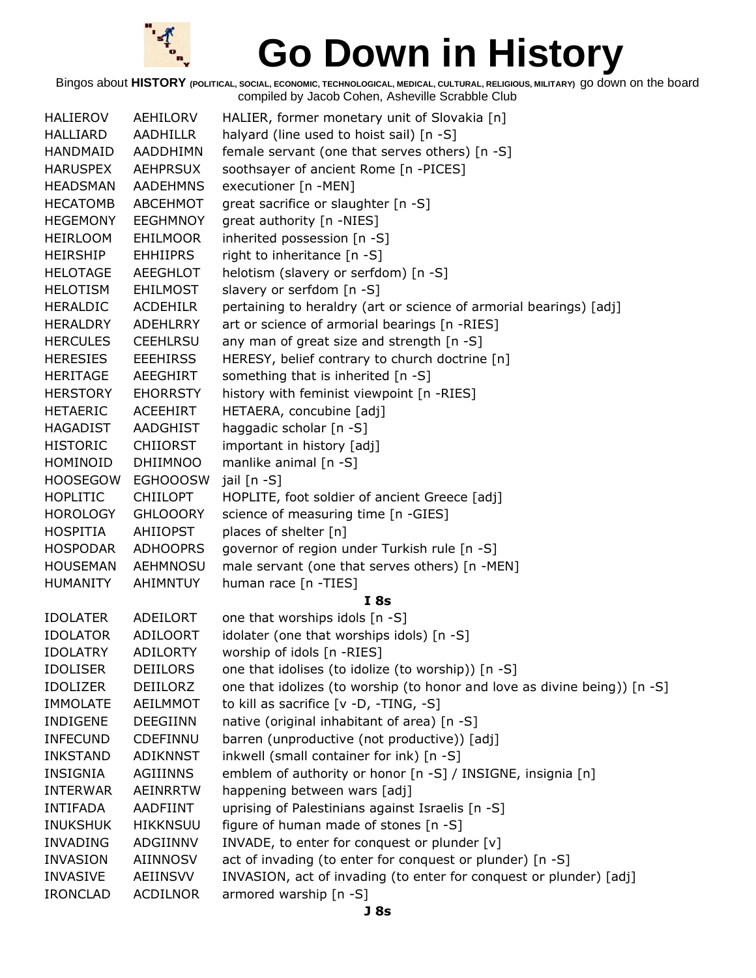

| <b>HALIEROV</b> | AEHILORV        | HALIER, former monetary unit of Slovakia [n]                              |
|-----------------|-----------------|---------------------------------------------------------------------------|
| <b>HALLIARD</b> | AADHILLR        | halyard (line used to hoist sail) [n -S]                                  |
| HANDMAID        | AADDHIMN        | female servant (one that serves others) [n -S]                            |
| <b>HARUSPEX</b> | <b>AEHPRSUX</b> | soothsayer of ancient Rome [n -PICES]                                     |
| <b>HEADSMAN</b> | <b>AADEHMNS</b> | executioner [n -MEN]                                                      |
| <b>HECATOMB</b> | ABCEHMOT        | great sacrifice or slaughter [n -S]                                       |
| <b>HEGEMONY</b> | <b>EEGHMNOY</b> | great authority [n -NIES]                                                 |
| HEIRLOOM        | EHILMOOR        | inherited possession [n -S]                                               |
| <b>HEIRSHIP</b> | <b>EHHIIPRS</b> | right to inheritance $[n - S]$                                            |
| <b>HELOTAGE</b> | <b>AEEGHLOT</b> | helotism (slavery or serfdom) [n -S]                                      |
| HELOTISM        | <b>EHILMOST</b> | slavery or serfdom [n -S]                                                 |
| <b>HERALDIC</b> | <b>ACDEHILR</b> | pertaining to heraldry (art or science of armorial bearings) [adj]        |
| HERALDRY        | ADEHLRRY        | art or science of armorial bearings [n -RIES]                             |
| <b>HERCULES</b> | <b>CEEHLRSU</b> | any man of great size and strength [n -S]                                 |
| <b>HERESIES</b> | <b>EEEHIRSS</b> | HERESY, belief contrary to church doctrine [n]                            |
| <b>HERITAGE</b> | AEEGHIRT        | something that is inherited [n -S]                                        |
| <b>HERSTORY</b> | <b>EHORRSTY</b> | history with feminist viewpoint [n -RIES]                                 |
| <b>HETAERIC</b> | ACEEHIRT        | HETAERA, concubine [adj]                                                  |
| HAGADIST        | AADGHIST        | haggadic scholar [n -S]                                                   |
| <b>HISTORIC</b> | <b>CHIIORST</b> | important in history [adj]                                                |
| HOMINOID        | <b>DHIIMNOO</b> | manlike animal [n -S]                                                     |
| <b>HOOSEGOW</b> | <b>EGHOOOSW</b> | jail [n -S]                                                               |
| <b>HOPLITIC</b> | <b>CHIILOPT</b> | HOPLITE, foot soldier of ancient Greece [adj]                             |
| <b>HOROLOGY</b> | <b>GHLOOORY</b> | science of measuring time [n -GIES]                                       |
| <b>HOSPITIA</b> | AHIIOPST        | places of shelter [n]                                                     |
| <b>HOSPODAR</b> | <b>ADHOOPRS</b> | governor of region under Turkish rule [n -S]                              |
| <b>HOUSEMAN</b> | <b>AEHMNOSU</b> | male servant (one that serves others) [n -MEN]                            |
| <b>HUMANITY</b> | AHIMNTUY        | human race [n -TIES]                                                      |
|                 |                 | I8s                                                                       |
| <b>IDOLATER</b> | ADEILORT        | one that worships idols [n -S]                                            |
| <b>IDOLATOR</b> | ADILOORT        | idolater (one that worships idols) [n -S]                                 |
| <b>IDOLATRY</b> | <b>ADILORTY</b> | worship of idols [n -RIES]                                                |
| <b>IDOLISER</b> | <b>DEIILORS</b> | one that idolises (to idolize (to worship)) [n -S]                        |
| <b>IDOLIZER</b> | DEIILORZ        | one that idolizes (to worship (to honor and love as divine being)) [n -S] |
| <b>IMMOLATE</b> | AEILMMOT        | to kill as sacrifice [v -D, -TING, -S]                                    |
| <b>INDIGENE</b> | <b>DEEGIINN</b> | native (original inhabitant of area) [n -S]                               |
| <b>INFECUND</b> | CDEFINNU        | barren (unproductive (not productive)) [adj]                              |
| <b>INKSTAND</b> | ADIKNNST        | inkwell (small container for ink) [n -S]                                  |
| <b>INSIGNIA</b> | AGIIINNS        | emblem of authority or honor [n -S] / INSIGNE, insignia [n]               |
| <b>INTERWAR</b> | AEINRRTW        | happening between wars [adj]                                              |
| <b>INTIFADA</b> | AADFIINT        | uprising of Palestinians against Israelis [n -S]                          |
| <b>INUKSHUK</b> | <b>HIKKNSUU</b> | figure of human made of stones [n -S]                                     |
| <b>INVADING</b> | ADGIINNV        | INVADE, to enter for conquest or plunder [v]                              |
| <b>INVASION</b> | AIINNOSV        | act of invading (to enter for conquest or plunder) [n -S]                 |
| <b>INVASIVE</b> | AEIINSVV        | INVASION, act of invading (to enter for conquest or plunder) [adj]        |
| <b>IRONCLAD</b> | <b>ACDILNOR</b> | armored warship [n -S]                                                    |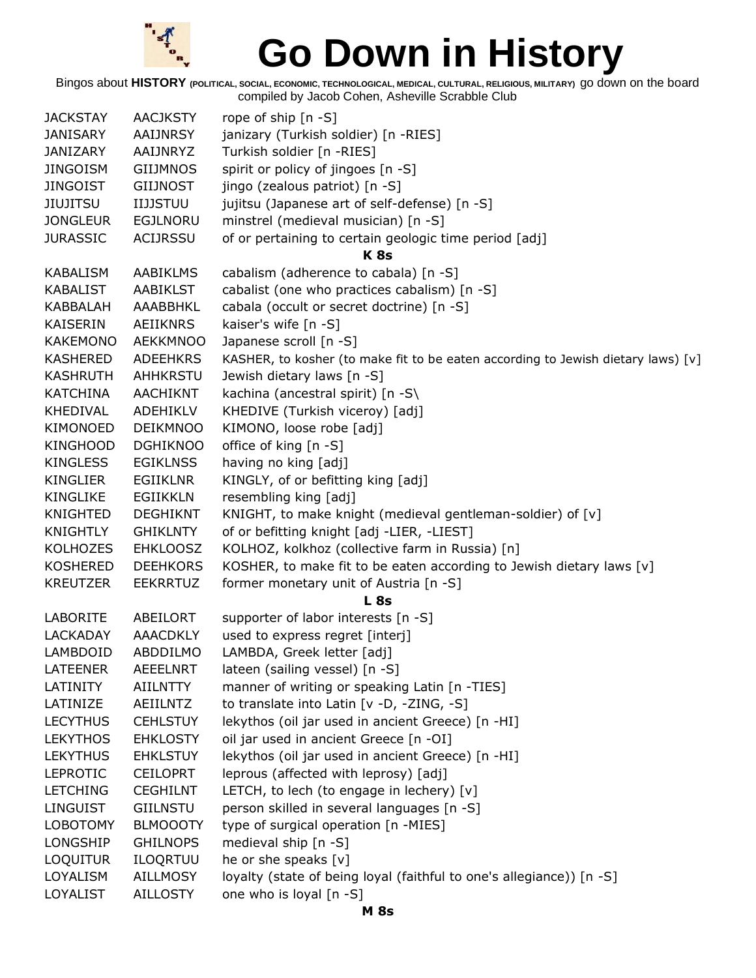

| <b>JACKSTAY</b> | <b>AACJKSTY</b> | rope of ship $[n - S]$                                                           |
|-----------------|-----------------|----------------------------------------------------------------------------------|
| <b>JANISARY</b> | <b>AAIJNRSY</b> | janizary (Turkish soldier) [n -RIES]                                             |
| <b>JANIZARY</b> | AAIJNRYZ        | Turkish soldier [n -RIES]                                                        |
| <b>JINGOISM</b> | <b>GIIJMNOS</b> | spirit or policy of jingoes [n -S]                                               |
| <b>JINGOIST</b> | <b>GIIJNOST</b> | jingo (zealous patriot) [n -S]                                                   |
| JIUJITSU        | <b>IIJJSTUU</b> | jujitsu (Japanese art of self-defense) [n -S]                                    |
| <b>JONGLEUR</b> | <b>EGJLNORU</b> | minstrel (medieval musician) [n -S]                                              |
| <b>JURASSIC</b> | <b>ACIJRSSU</b> | of or pertaining to certain geologic time period [adj]                           |
|                 |                 | K <sub>8s</sub>                                                                  |
| <b>KABALISM</b> | <b>AABIKLMS</b> | cabalism (adherence to cabala) [n -S]                                            |
| <b>KABALIST</b> | <b>AABIKLST</b> | cabalist (one who practices cabalism) [n -S]                                     |
| <b>KABBALAH</b> | AAABBHKL        | cabala (occult or secret doctrine) [n -S]                                        |
| KAISERIN        | <b>AEIIKNRS</b> | kaiser's wife [n -S]                                                             |
| <b>KAKEMONO</b> | <b>AEKKMNOO</b> | Japanese scroll [n -S]                                                           |
| <b>KASHERED</b> | <b>ADEEHKRS</b> | KASHER, to kosher (to make fit to be eaten according to Jewish dietary laws) [v] |
| <b>KASHRUTH</b> | AHHKRSTU        | Jewish dietary laws [n -S]                                                       |
| <b>KATCHINA</b> | <b>AACHIKNT</b> | kachina (ancestral spirit) [n -S\                                                |
| <b>KHEDIVAL</b> | ADEHIKLV        | KHEDIVE (Turkish viceroy) [adj]                                                  |
| KIMONOED        | <b>DEIKMNOO</b> | KIMONO, loose robe [adj]                                                         |
| <b>KINGHOOD</b> | <b>DGHIKNOO</b> | office of king [n -S]                                                            |
| <b>KINGLESS</b> | <b>EGIKLNSS</b> | having no king [adj]                                                             |
| <b>KINGLIER</b> | <b>EGIIKLNR</b> | KINGLY, of or befitting king [adj]                                               |
| <b>KINGLIKE</b> | <b>EGIIKKLN</b> | resembling king [adj]                                                            |
| <b>KNIGHTED</b> | <b>DEGHIKNT</b> | KNIGHT, to make knight (medieval gentleman-soldier) of [v]                       |
| <b>KNIGHTLY</b> | <b>GHIKLNTY</b> | of or befitting knight [adj -LIER, -LIEST]                                       |
| <b>KOLHOZES</b> | <b>EHKLOOSZ</b> | KOLHOZ, kolkhoz (collective farm in Russia) [n]                                  |
| <b>KOSHERED</b> | <b>DEEHKORS</b> | KOSHER, to make fit to be eaten according to Jewish dietary laws [v]             |
| <b>KREUTZER</b> | <b>EEKRRTUZ</b> | former monetary unit of Austria [n -S]                                           |
|                 |                 | <b>L</b> 8s                                                                      |
| <b>LABORITE</b> | ABEILORT        | supporter of labor interests [n -S]                                              |
| <b>LACKADAY</b> | <b>AAACDKLY</b> | used to express regret [interj]                                                  |
| LAMBDOID        | <b>ABDDILMO</b> | LAMBDA, Greek letter [adj]                                                       |
| <b>LATEENER</b> | <b>AEEELNRT</b> | lateen (sailing vessel) [n -S]                                                   |
| LATINITY        | <b>AIILNTTY</b> | manner of writing or speaking Latin [n -TIES]                                    |
| LATINIZE        | AEIILNTZ        | to translate into Latin [v -D, -ZING, -S]                                        |
| <b>LECYTHUS</b> | <b>CEHLSTUY</b> | lekythos (oil jar used in ancient Greece) [n -HI]                                |
| <b>LEKYTHOS</b> | <b>EHKLOSTY</b> | oil jar used in ancient Greece [n -OI]                                           |
| <b>LEKYTHUS</b> | <b>EHKLSTUY</b> | lekythos (oil jar used in ancient Greece) [n -HI]                                |
| <b>LEPROTIC</b> | <b>CEILOPRT</b> | leprous (affected with leprosy) [adj]                                            |
| <b>LETCHING</b> | <b>CEGHILNT</b> | LETCH, to lech (to engage in lechery) $[v]$                                      |
| <b>LINGUIST</b> | <b>GIILNSTU</b> | person skilled in several languages [n -S]                                       |
| <b>LOBOTOMY</b> | <b>BLMOOOTY</b> | type of surgical operation [n -MIES]                                             |
| LONGSHIP        | <b>GHILNOPS</b> | medieval ship [n -S]                                                             |
| <b>LOQUITUR</b> | ILOQRTUU        | he or she speaks [v]                                                             |
| LOYALISM        | <b>AILLMOSY</b> | loyalty (state of being loyal (faithful to one's allegiance)) [n -S]             |
| LOYALIST        | <b>AILLOSTY</b> | one who is loyal [n -S]                                                          |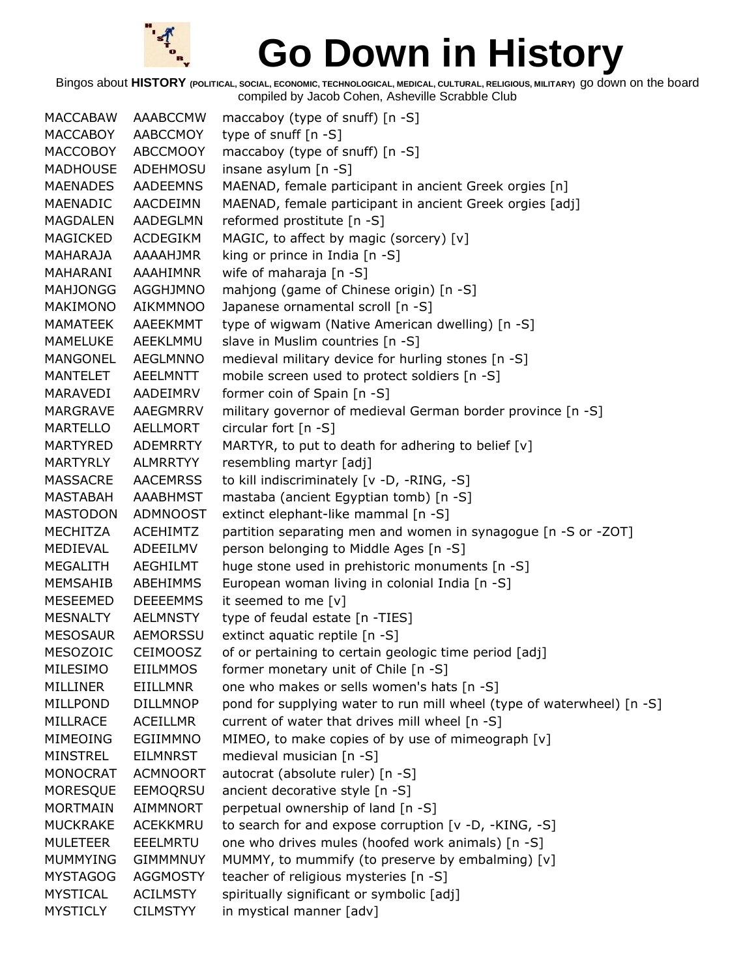

Bingos about **HISTORY (POLITICAL, SOCIAL, ECONOMIC, TECHNOLOGICAL, MEDICAL, CULTURAL, RELIGIOUS, MILITARY)** go down on the board compiled by Jacob Cohen, Asheville Scrabble Club

MACCABAW AAABCCMW maccaboy (type of snuff) [n -S] MACCABOY AABCCMOY type of snuff [n -S] MACCOBOY ABCCMOOY maccaboy (type of snuff) [n -S] MADHOUSE ADEHMOSU insane asylum [n -S] MAENADES AADEEMNS MAENAD, female participant in ancient Greek orgies [n] MAENADIC AACDEIMN MAENAD, female participant in ancient Greek orgies [adj] MAGDALEN AADEGLMN reformed prostitute [n -S] MAGICKED ACDEGIKM MAGIC, to affect by magic (sorcery) [v] MAHARAJA AAAAHJMR king or prince in India [n -S] MAHARANI AAAHIMNR wife of maharaja [n -S] MAHJONGG AGGHJMNO mahjong (game of Chinese origin) [n -S] MAKIMONO AIKMMNOO Japanese ornamental scroll [n -S] MAMATEEK AAEEKMMT type of wigwam (Native American dwelling) [n -S] MAMELUKE AEEKLMMU slave in Muslim countries [n -S] MANGONEL AEGLMNNO medieval military device for hurling stones [n -S] MANTELET AEELMNTT mobile screen used to protect soldiers [n -S] MARAVEDI AADEIMRV former coin of Spain [n -S] MARGRAVE AAEGMRRV military governor of medieval German border province [n -S] MARTELLO AELLMORT circular fort [n -S] MARTYRED ADEMRRTY MARTYR, to put to death for adhering to belief  $[v]$ MARTYRLY ALMRRTYY resembling martyr [adj] MASSACRE AACEMRSS to kill indiscriminately [v -D, -RING, -S] MASTABAH AAABHMST mastaba (ancient Egyptian tomb) [n -S] MASTODON ADMNOOST extinct elephant-like mammal [n -S] MECHITZA ACEHIMTZ partition separating men and women in synagogue [n -S or -ZOT] MEDIEVAL ADEEILMV person belonging to Middle Ages [n -S] MEGALITH AEGHILMT huge stone used in prehistoric monuments [n -S] MEMSAHIB ABEHIMMS European woman living in colonial India [n -S] MESEEMED DEEEEMMS it seemed to me [v] MESNALTY AELMNSTY type of feudal estate [n -TIES] MESOSAUR AEMORSSU extinct aquatic reptile [n -S] MESOZOIC CEIMOOSZ of or pertaining to certain geologic time period [adj] MILESIMO EIILMMOS former monetary unit of Chile [n -S] MILLINER EIILLMNR one who makes or sells women's hats [n -S] MILLPOND DILLMNOP pond for supplying water to run mill wheel (type of waterwheel) [n -S] MILLRACE ACEILLMR current of water that drives mill wheel [n -S] MIMEOING EGIIMMNO MIMEO, to make copies of by use of mimeograph [v] MINSTREL EILMNRST medieval musician [n -S] MONOCRAT ACMNOORT autocrat (absolute ruler) [n -S] MORESQUE EEMOQRSU ancient decorative style [n -S] MORTMAIN AIMMNORT perpetual ownership of land [n -S] MUCKRAKE ACEKKMRU to search for and expose corruption [v -D, -KING, -S] MULETEER EEELMRTU one who drives mules (hoofed work animals) [n -S] MUMMYING GIMMMNUY MUMMY, to mummify (to preserve by embalming) [v] MYSTAGOG AGGMOSTY teacher of religious mysteries [n -S] MYSTICAL ACILMSTY spiritually significant or symbolic [adj] MYSTICLY CILMSTYY in mystical manner [adv]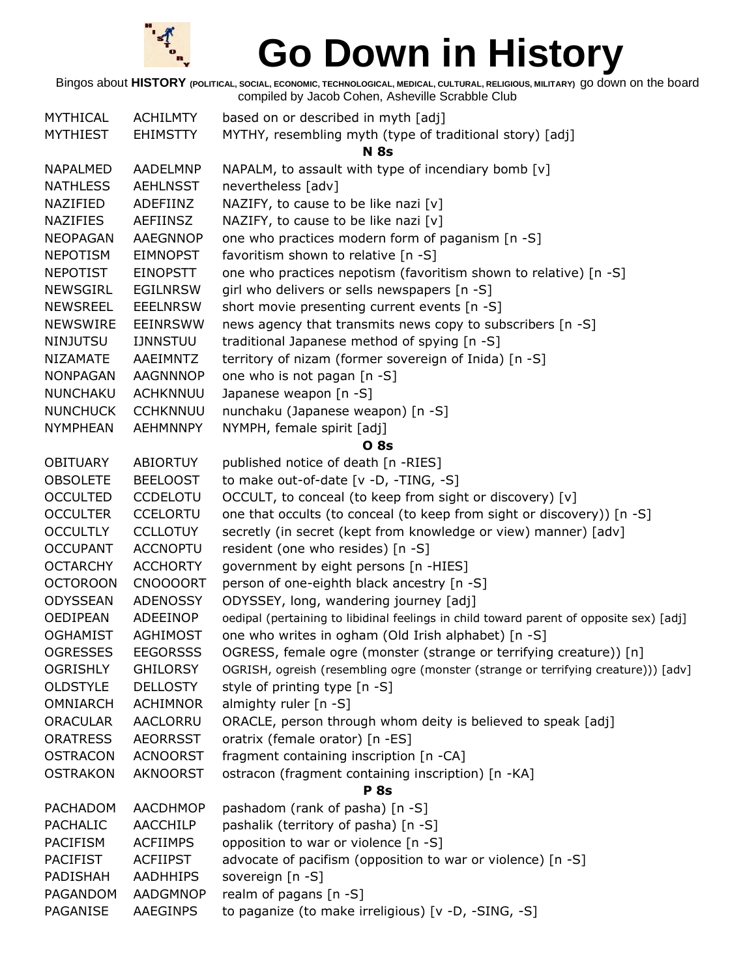

| <b>MYTHICAL</b> | <b>ACHILMTY</b> | based on or described in myth [adj]                                                     |  |
|-----------------|-----------------|-----------------------------------------------------------------------------------------|--|
| <b>MYTHIEST</b> | <b>EHIMSTTY</b> | MYTHY, resembling myth (type of traditional story) [adj]                                |  |
|                 |                 | <b>N</b> 8s                                                                             |  |
| <b>NAPALMED</b> | <b>AADELMNP</b> | NAPALM, to assault with type of incendiary bomb [v]                                     |  |
| <b>NATHLESS</b> | <b>AEHLNSST</b> | nevertheless [adv]                                                                      |  |
| NAZIFIED        | ADEFIINZ        | NAZIFY, to cause to be like nazi [v]                                                    |  |
| <b>NAZIFIES</b> | AEFIINSZ        | NAZIFY, to cause to be like nazi [v]                                                    |  |
| <b>NEOPAGAN</b> | <b>AAEGNNOP</b> | one who practices modern form of paganism [n -S]                                        |  |
| <b>NEPOTISM</b> | <b>EIMNOPST</b> | favoritism shown to relative [n -S]                                                     |  |
| <b>NEPOTIST</b> | <b>EINOPSTT</b> | one who practices nepotism (favoritism shown to relative) [n -S]                        |  |
| <b>NEWSGIRL</b> | <b>EGILNRSW</b> | girl who delivers or sells newspapers [n -S]                                            |  |
| <b>NEWSREEL</b> | <b>EEELNRSW</b> | short movie presenting current events [n -S]                                            |  |
| <b>NEWSWIRE</b> | <b>EEINRSWW</b> | news agency that transmits news copy to subscribers [n -S]                              |  |
| <b>NINJUTSU</b> | <b>IJNNSTUU</b> | traditional Japanese method of spying [n -S]                                            |  |
| NIZAMATE        | AAEIMNTZ        | territory of nizam (former sovereign of Inida) [n -S]                                   |  |
| <b>NONPAGAN</b> | <b>AAGNNNOP</b> | one who is not pagan [n -S]                                                             |  |
| <b>NUNCHAKU</b> | <b>ACHKNNUU</b> | Japanese weapon [n -S]                                                                  |  |
| <b>NUNCHUCK</b> | <b>CCHKNNUU</b> | nunchaku (Japanese weapon) [n -S]                                                       |  |
| <b>NYMPHEAN</b> | <b>AEHMNNPY</b> | NYMPH, female spirit [adj]                                                              |  |
|                 |                 | <b>O</b> 8s                                                                             |  |
| <b>OBITUARY</b> | <b>ABIORTUY</b> | published notice of death [n -RIES]                                                     |  |
| <b>OBSOLETE</b> | <b>BEELOOST</b> | to make out-of-date [v -D, -TING, -S]                                                   |  |
| <b>OCCULTED</b> | <b>CCDELOTU</b> | OCCULT, to conceal (to keep from sight or discovery) [v]                                |  |
| <b>OCCULTER</b> | <b>CCELORTU</b> | one that occults (to conceal (to keep from sight or discovery)) [n -S]                  |  |
| <b>OCCULTLY</b> | <b>CCLLOTUY</b> | secretly (in secret (kept from knowledge or view) manner) [adv]                         |  |
| <b>OCCUPANT</b> | <b>ACCNOPTU</b> | resident (one who resides) [n -S]                                                       |  |
| <b>OCTARCHY</b> | <b>ACCHORTY</b> | government by eight persons [n -HIES]                                                   |  |
| <b>OCTOROON</b> | <b>CNOOOORT</b> | person of one-eighth black ancestry [n -S]                                              |  |
| <b>ODYSSEAN</b> | <b>ADENOSSY</b> | ODYSSEY, long, wandering journey [adj]                                                  |  |
| OEDIPEAN        | ADEEINOP        | oedipal (pertaining to libidinal feelings in child toward parent of opposite sex) [adj] |  |
| <b>OGHAMIST</b> | <b>AGHIMOST</b> | one who writes in ogham (Old Irish alphabet) [n -S]                                     |  |
| <b>OGRESSES</b> | <b>EEGORSSS</b> | OGRESS, female ogre (monster (strange or terrifying creature)) [n]                      |  |
| <b>OGRISHLY</b> | <b>GHILORSY</b> | OGRISH, ogreish (resembling ogre (monster (strange or terrifying creature))) [adv]      |  |
| <b>OLDSTYLE</b> | <b>DELLOSTY</b> | style of printing type [n -S]                                                           |  |
| <b>OMNIARCH</b> | <b>ACHIMNOR</b> | almighty ruler [n -S]                                                                   |  |
| <b>ORACULAR</b> | AACLORRU        | ORACLE, person through whom deity is believed to speak [adj]                            |  |
| <b>ORATRESS</b> | <b>AEORRSST</b> | oratrix (female orator) [n -ES]                                                         |  |
| <b>OSTRACON</b> | <b>ACNOORST</b> | fragment containing inscription [n -CA]                                                 |  |
| <b>OSTRAKON</b> | <b>AKNOORST</b> | ostracon (fragment containing inscription) [n -KA]                                      |  |
| <b>P</b> 8s     |                 |                                                                                         |  |
| PACHADOM        | <b>AACDHMOP</b> | pashadom (rank of pasha) [n -S]                                                         |  |
| <b>PACHALIC</b> | <b>AACCHILP</b> | pashalik (territory of pasha) [n -S]                                                    |  |
| <b>PACIFISM</b> | <b>ACFIIMPS</b> | opposition to war or violence [n -S]                                                    |  |
| <b>PACIFIST</b> | <b>ACFIIPST</b> | advocate of pacifism (opposition to war or violence) [n -S]                             |  |
| PADISHAH        | <b>AADHHIPS</b> | sovereign [n -S]                                                                        |  |
| PAGANDOM        | AADGMNOP        | realm of pagans [n -S]                                                                  |  |
| PAGANISE        | AAEGINPS        | to paganize (to make irreligious) [v -D, -SING, -S]                                     |  |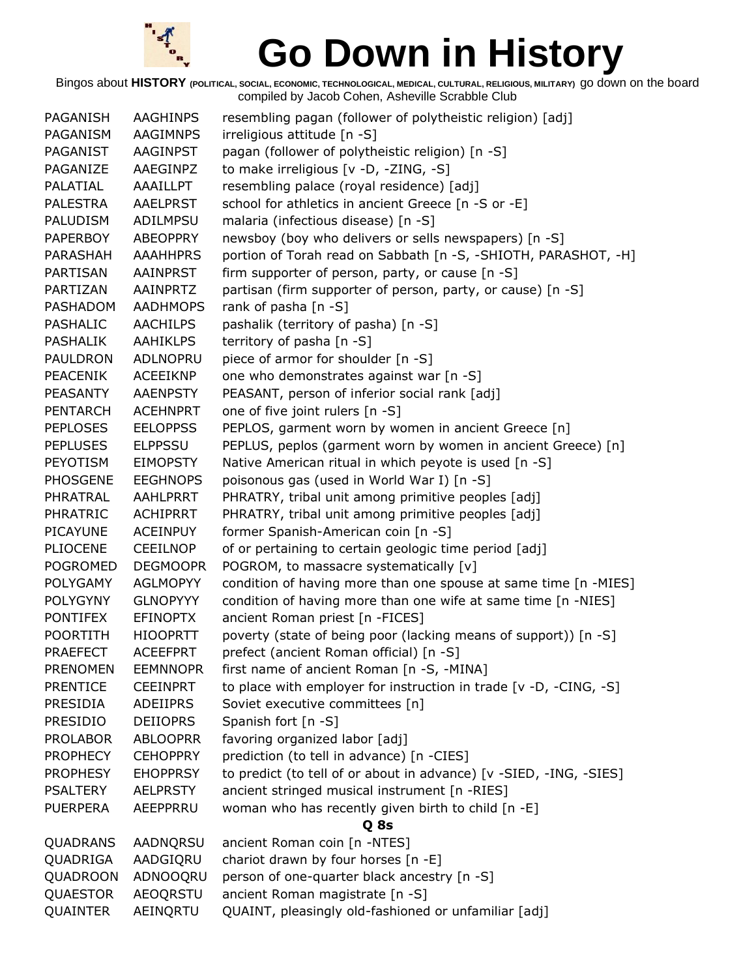

| PAGANISH        | AAGHINPS        | resembling pagan (follower of polytheistic religion) [adj]         |
|-----------------|-----------------|--------------------------------------------------------------------|
| PAGANISM        | <b>AAGIMNPS</b> | irreligious attitude [n -S]                                        |
| PAGANIST        | <b>AAGINPST</b> | pagan (follower of polytheistic religion) [n -S]                   |
| PAGANIZE        | AAEGINPZ        | to make irreligious [v -D, -ZING, -S]                              |
| PALATIAL        | AAAILLPT        | resembling palace (royal residence) [adj]                          |
| PALESTRA        | <b>AAELPRST</b> | school for athletics in ancient Greece [n -S or -E]                |
| PALUDISM        | ADILMPSU        | malaria (infectious disease) [n -S]                                |
| PAPERBOY        | <b>ABEOPPRY</b> | newsboy (boy who delivers or sells newspapers) [n -S]              |
| PARASHAH        | <b>AAAHHPRS</b> | portion of Torah read on Sabbath [n -S, -SHIOTH, PARASHOT, -H]     |
| PARTISAN        | AAINPRST        | firm supporter of person, party, or cause [n -S]                   |
| PARTIZAN        | AAINPRTZ        | partisan (firm supporter of person, party, or cause) [n -S]        |
| PASHADOM        | <b>AADHMOPS</b> | rank of pasha [n -S]                                               |
| <b>PASHALIC</b> | <b>AACHILPS</b> | pashalik (territory of pasha) [n -S]                               |
| PASHALIK        | <b>AAHIKLPS</b> | territory of pasha [n -S]                                          |
| PAULDRON        | ADLNOPRU        | piece of armor for shoulder [n -S]                                 |
| PEACENIK        | <b>ACEEIKNP</b> | one who demonstrates against war [n -S]                            |
| PEASANTY        | <b>AAENPSTY</b> | PEASANT, person of inferior social rank [adj]                      |
| <b>PENTARCH</b> | <b>ACEHNPRT</b> | one of five joint rulers [n -S]                                    |
| <b>PEPLOSES</b> | <b>EELOPPSS</b> | PEPLOS, garment worn by women in ancient Greece [n]                |
| <b>PEPLUSES</b> | <b>ELPPSSU</b>  | PEPLUS, peplos (garment worn by women in ancient Greece) [n]       |
| <b>PEYOTISM</b> | <b>EIMOPSTY</b> | Native American ritual in which peyote is used [n -S]              |
| <b>PHOSGENE</b> | <b>EEGHNOPS</b> | poisonous gas (used in World War I) [n -S]                         |
| PHRATRAL        | AAHLPRRT        | PHRATRY, tribal unit among primitive peoples [adj]                 |
| <b>PHRATRIC</b> | <b>ACHIPRRT</b> | PHRATRY, tribal unit among primitive peoples [adj]                 |
| <b>PICAYUNE</b> | <b>ACEINPUY</b> | former Spanish-American coin [n -S]                                |
| PLIOCENE        | <b>CEEILNOP</b> | of or pertaining to certain geologic time period [adj]             |
| <b>POGROMED</b> | <b>DEGMOOPR</b> | POGROM, to massacre systematically [v]                             |
| <b>POLYGAMY</b> | <b>AGLMOPYY</b> | condition of having more than one spouse at same time [n -MIES]    |
| <b>POLYGYNY</b> | <b>GLNOPYYY</b> | condition of having more than one wife at same time [n -NIES]      |
| PONTIFEX        | <b>EFINOPTX</b> | ancient Roman priest [n -FICES]                                    |
| <b>POORTITH</b> | <b>HIOOPRTT</b> | poverty (state of being poor (lacking means of support)) [n -S]    |
| <b>PRAEFECT</b> | <b>ACEEFPRT</b> | prefect (ancient Roman official) [n -S]                            |
| <b>PRENOMEN</b> | <b>EEMNNOPR</b> | first name of ancient Roman [n -S, -MINA]                          |
| <b>PRENTICE</b> | <b>CEEINPRT</b> | to place with employer for instruction in trade [v -D, -CING, -S]  |
| PRESIDIA        | ADEIIPRS        | Soviet executive committees [n]                                    |
| <b>PRESIDIO</b> | <b>DEIIOPRS</b> | Spanish fort [n -S]                                                |
| <b>PROLABOR</b> | <b>ABLOOPRR</b> | favoring organized labor [adj]                                     |
| <b>PROPHECY</b> | <b>CEHOPPRY</b> | prediction (to tell in advance) [n -CIES]                          |
| <b>PROPHESY</b> | <b>EHOPPRSY</b> | to predict (to tell of or about in advance) [v -SIED, -ING, -SIES] |
| <b>PSALTERY</b> | <b>AELPRSTY</b> | ancient stringed musical instrument [n -RIES]                      |
| <b>PUERPERA</b> | AEEPPRRU        | woman who has recently given birth to child [n -E]                 |
|                 |                 | Q 8s                                                               |
| <b>QUADRANS</b> | AADNQRSU        | ancient Roman coin [n -NTES]                                       |
| QUADRIGA        | AADGIQRU        | chariot drawn by four horses [n -E]                                |
| QUADROON        | ADNOOQRU        | person of one-quarter black ancestry [n -S]                        |
| <b>QUAESTOR</b> | <b>AEOQRSTU</b> | ancient Roman magistrate [n -S]                                    |
| QUAINTER        | AEINQRTU        | QUAINT, pleasingly old-fashioned or unfamiliar [adj]               |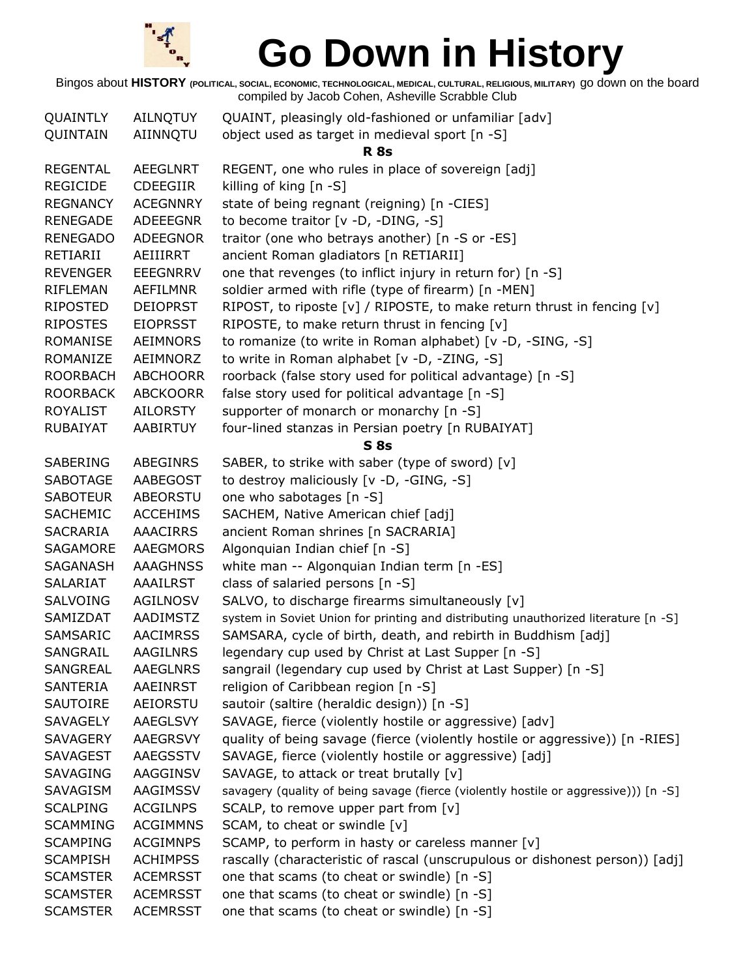

| QUAINTLY        | AILNQTUY        | QUAINT, pleasingly old-fashioned or unfamiliar [adv]                                 |
|-----------------|-----------------|--------------------------------------------------------------------------------------|
| QUINTAIN        | AIINNQTU        | object used as target in medieval sport [n -S]                                       |
|                 |                 | <b>R</b> 8s                                                                          |
| <b>REGENTAL</b> | <b>AEEGLNRT</b> | REGENT, one who rules in place of sovereign [adj]                                    |
| <b>REGICIDE</b> | <b>CDEEGIIR</b> | killing of king [n -S]                                                               |
| <b>REGNANCY</b> | <b>ACEGNNRY</b> | state of being regnant (reigning) [n -CIES]                                          |
| <b>RENEGADE</b> | <b>ADEEEGNR</b> | to become traitor [v -D, -DING, -S]                                                  |
| <b>RENEGADO</b> | <b>ADEEGNOR</b> | traitor (one who betrays another) [n -S or -ES]                                      |
| RETIARII        | AEIIIRRT        | ancient Roman gladiators [n RETIARII]                                                |
| <b>REVENGER</b> | <b>EEEGNRRV</b> | one that revenges (to inflict injury in return for) [n -S]                           |
| RIFLEMAN        | AEFILMNR        | soldier armed with rifle (type of firearm) [n -MEN]                                  |
| <b>RIPOSTED</b> | <b>DEIOPRST</b> | RIPOST, to riposte [v] / RIPOSTE, to make return thrust in fencing [v]               |
| <b>RIPOSTES</b> | <b>EIOPRSST</b> | RIPOSTE, to make return thrust in fencing [v]                                        |
| <b>ROMANISE</b> | AEIMNORS        | to romanize (to write in Roman alphabet) [v -D, -SING, -S]                           |
| ROMANIZE        | AEIMNORZ        | to write in Roman alphabet [v -D, -ZING, -S]                                         |
| <b>ROORBACH</b> | <b>ABCHOORR</b> | roorback (false story used for political advantage) [n -S]                           |
| <b>ROORBACK</b> | <b>ABCKOORR</b> | false story used for political advantage [n -S]                                      |
| <b>ROYALIST</b> | AILORSTY        | supporter of monarch or monarchy [n -S]                                              |
| <b>RUBAIYAT</b> | AABIRTUY        | four-lined stanzas in Persian poetry [n RUBAIYAT]                                    |
|                 |                 | S <sub>8s</sub>                                                                      |
| <b>SABERING</b> | ABEGINRS        | SABER, to strike with saber (type of sword) [v]                                      |
| <b>SABOTAGE</b> | AABEGOST        | to destroy maliciously [v -D, -GING, -S]                                             |
| <b>SABOTEUR</b> | ABEORSTU        | one who sabotages [n -S]                                                             |
| <b>SACHEMIC</b> | <b>ACCEHIMS</b> | SACHEM, Native American chief [adj]                                                  |
| SACRARIA        | <b>AAACIRRS</b> | ancient Roman shrines [n SACRARIA]                                                   |
| SAGAMORE        | <b>AAEGMORS</b> | Algonquian Indian chief [n -S]                                                       |
| SAGANASH        | <b>AAAGHNSS</b> | white man -- Algonquian Indian term [n -ES]                                          |
| SALARIAT        | <b>AAAILRST</b> | class of salaried persons [n -S]                                                     |
| <b>SALVOING</b> | AGILNOSV        | SALVO, to discharge firearms simultaneously [v]                                      |
| SAMIZDAT        | AADIMSTZ        | system in Soviet Union for printing and distributing unauthorized literature [n -S]  |
| SAMSARIC        | <b>AACIMRSS</b> | SAMSARA, cycle of birth, death, and rebirth in Buddhism [adj]                        |
| SANGRAIL        | <b>AAGILNRS</b> | legendary cup used by Christ at Last Supper [n -S]                                   |
| <b>SANGREAL</b> | <b>AAEGLNRS</b> | sangrail (legendary cup used by Christ at Last Supper) [n -S]                        |
| <b>SANTERIA</b> | AAEINRST        | religion of Caribbean region [n -S]                                                  |
| SAUTOIRE        | AEIORSTU        | sautoir (saltire (heraldic design)) [n -S]                                           |
| <b>SAVAGELY</b> | <b>AAEGLSVY</b> | SAVAGE, fierce (violently hostile or aggressive) [adv]                               |
| SAVAGERY        | AAEGRSVY        | quality of being savage (fierce (violently hostile or aggressive)) [n -RIES]         |
| <b>SAVAGEST</b> | <b>AAEGSSTV</b> | SAVAGE, fierce (violently hostile or aggressive) [adj]                               |
| <b>SAVAGING</b> | AAGGINSV        | SAVAGE, to attack or treat brutally [v]                                              |
| SAVAGISM        | AAGIMSSV        | savagery (quality of being savage (fierce (violently hostile or aggressive))) [n -S] |
| <b>SCALPING</b> | <b>ACGILNPS</b> | SCALP, to remove upper part from $[v]$                                               |
| <b>SCAMMING</b> | <b>ACGIMMNS</b> | SCAM, to cheat or swindle [v]                                                        |
| <b>SCAMPING</b> | <b>ACGIMNPS</b> | SCAMP, to perform in hasty or careless manner [v]                                    |
| <b>SCAMPISH</b> | <b>ACHIMPSS</b> | rascally (characteristic of rascal (unscrupulous or dishonest person)) [adj]         |
| <b>SCAMSTER</b> | <b>ACEMRSST</b> | one that scams (to cheat or swindle) [n -S]                                          |
| <b>SCAMSTER</b> | <b>ACEMRSST</b> | one that scams (to cheat or swindle) [n -S]                                          |
| <b>SCAMSTER</b> | <b>ACEMRSST</b> | one that scams (to cheat or swindle) [n -S]                                          |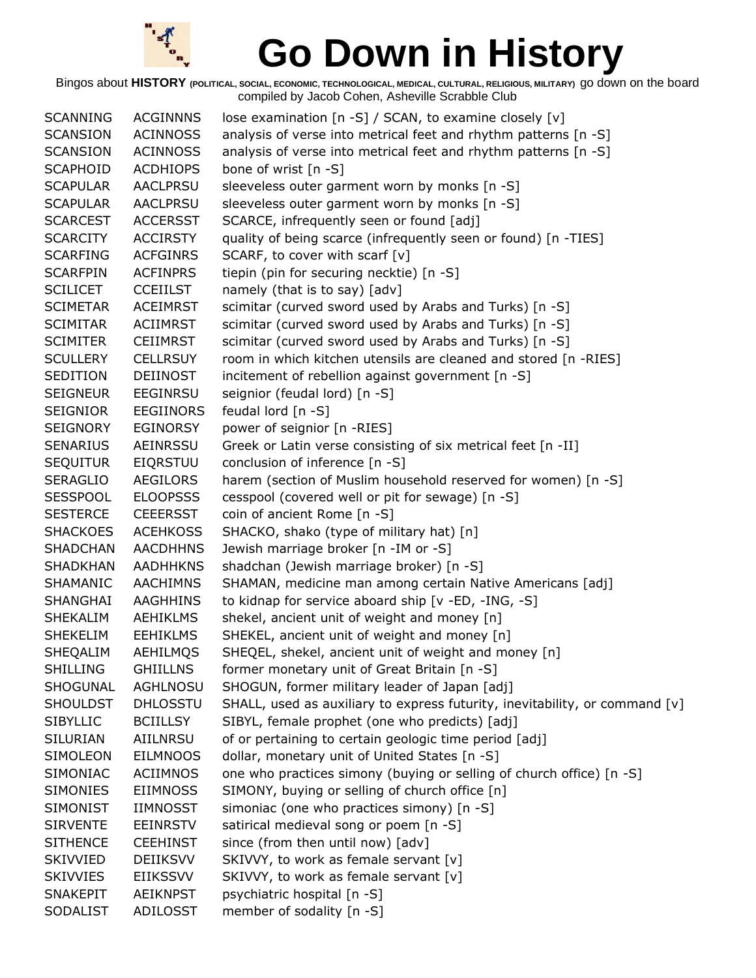

| <b>SCANNING</b> | <b>ACGINNNS</b>  | lose examination [n -S] / SCAN, to examine closely [v]                      |
|-----------------|------------------|-----------------------------------------------------------------------------|
| <b>SCANSION</b> | <b>ACINNOSS</b>  | analysis of verse into metrical feet and rhythm patterns [n -S]             |
| <b>SCANSION</b> | <b>ACINNOSS</b>  | analysis of verse into metrical feet and rhythm patterns [n -S]             |
| <b>SCAPHOID</b> | <b>ACDHIOPS</b>  | bone of wrist [n -S]                                                        |
| <b>SCAPULAR</b> | AACLPRSU         | sleeveless outer garment worn by monks [n -S]                               |
| <b>SCAPULAR</b> | AACLPRSU         | sleeveless outer garment worn by monks [n -S]                               |
| <b>SCARCEST</b> | <b>ACCERSST</b>  | SCARCE, infrequently seen or found [adj]                                    |
| <b>SCARCITY</b> | <b>ACCIRSTY</b>  | quality of being scarce (infrequently seen or found) [n -TIES]              |
| <b>SCARFING</b> | <b>ACFGINRS</b>  | SCARF, to cover with scarf [v]                                              |
| <b>SCARFPIN</b> | <b>ACFINPRS</b>  | tiepin (pin for securing necktie) [n -S]                                    |
| <b>SCILICET</b> | <b>CCEIILST</b>  | namely (that is to say) [adv]                                               |
| <b>SCIMETAR</b> | <b>ACEIMRST</b>  | scimitar (curved sword used by Arabs and Turks) [n -S]                      |
| <b>SCIMITAR</b> | <b>ACIIMRST</b>  | scimitar (curved sword used by Arabs and Turks) [n -S]                      |
| <b>SCIMITER</b> | <b>CEIIMRST</b>  | scimitar (curved sword used by Arabs and Turks) [n -S]                      |
| <b>SCULLERY</b> | <b>CELLRSUY</b>  | room in which kitchen utensils are cleaned and stored [n -RIES]             |
| SEDITION        | DEIINOST         | incitement of rebellion against government [n -S]                           |
| <b>SEIGNEUR</b> | <b>EEGINRSU</b>  | seignior (feudal lord) [n -S]                                               |
| <b>SEIGNIOR</b> | <b>EEGIINORS</b> | feudal lord [n -S]                                                          |
| <b>SEIGNORY</b> | EGINORSY         | power of seignior [n -RIES]                                                 |
| <b>SENARIUS</b> | AEINRSSU         | Greek or Latin verse consisting of six metrical feet [n -II]                |
| <b>SEQUITUR</b> | <b>EIQRSTUU</b>  | conclusion of inference [n -S]                                              |
| <b>SERAGLIO</b> | AEGILORS         | harem (section of Muslim household reserved for women) [n -S]               |
| <b>SESSPOOL</b> | <b>ELOOPSSS</b>  | cesspool (covered well or pit for sewage) [n -S]                            |
| <b>SESTERCE</b> | <b>CEEERSST</b>  | coin of ancient Rome [n -S]                                                 |
| <b>SHACKOES</b> | <b>ACEHKOSS</b>  | SHACKO, shako (type of military hat) [n]                                    |
| <b>SHADCHAN</b> | <b>AACDHHNS</b>  | Jewish marriage broker [n -IM or -S]                                        |
| <b>SHADKHAN</b> | <b>AADHHKNS</b>  | shadchan (Jewish marriage broker) [n -S]                                    |
| SHAMANIC        | <b>AACHIMNS</b>  | SHAMAN, medicine man among certain Native Americans [adj]                   |
| SHANGHAI        | AAGHHINS         | to kidnap for service aboard ship [v -ED, -ING, -S]                         |
| SHEKALIM        | AEHIKLMS         | shekel, ancient unit of weight and money [n]                                |
| <b>SHEKELIM</b> | <b>EEHIKLMS</b>  | SHEKEL, ancient unit of weight and money [n]                                |
| SHEQALIM        | AEHILMQS         | SHEQEL, shekel, ancient unit of weight and money [n]                        |
| <b>SHILLING</b> | <b>GHIILLNS</b>  | former monetary unit of Great Britain [n -S]                                |
| SHOGUNAL        | <b>AGHLNOSU</b>  | SHOGUN, former military leader of Japan [adj]                               |
| <b>SHOULDST</b> | <b>DHLOSSTU</b>  | SHALL, used as auxiliary to express futurity, inevitability, or command [v] |
| <b>SIBYLLIC</b> | <b>BCIILLSY</b>  | SIBYL, female prophet (one who predicts) [adj]                              |
| SILURIAN        | AIILNRSU         | of or pertaining to certain geologic time period [adj]                      |
| SIMOLEON        | <b>EILMNOOS</b>  | dollar, monetary unit of United States [n -S]                               |
| <b>SIMONIAC</b> | <b>ACIIMNOS</b>  | one who practices simony (buying or selling of church office) [n -S]        |
| <b>SIMONIES</b> | <b>EIIMNOSS</b>  | SIMONY, buying or selling of church office [n]                              |
| <b>SIMONIST</b> | <b>IIMNOSST</b>  | simoniac (one who practices simony) [n -S]                                  |
| <b>SIRVENTE</b> | <b>EEINRSTV</b>  | satirical medieval song or poem [n -S]                                      |
| <b>SITHENCE</b> | <b>CEEHINST</b>  | since (from then until now) [adv]                                           |
| <b>SKIVVIED</b> | <b>DEIIKSVV</b>  | SKIVVY, to work as female servant [v]                                       |
| <b>SKIVVIES</b> | <b>EIIKSSVV</b>  | SKIVVY, to work as female servant [v]                                       |
| <b>SNAKEPIT</b> | <b>AEIKNPST</b>  | psychiatric hospital [n -S]                                                 |
| <b>SODALIST</b> | <b>ADILOSST</b>  | member of sodality [n -S]                                                   |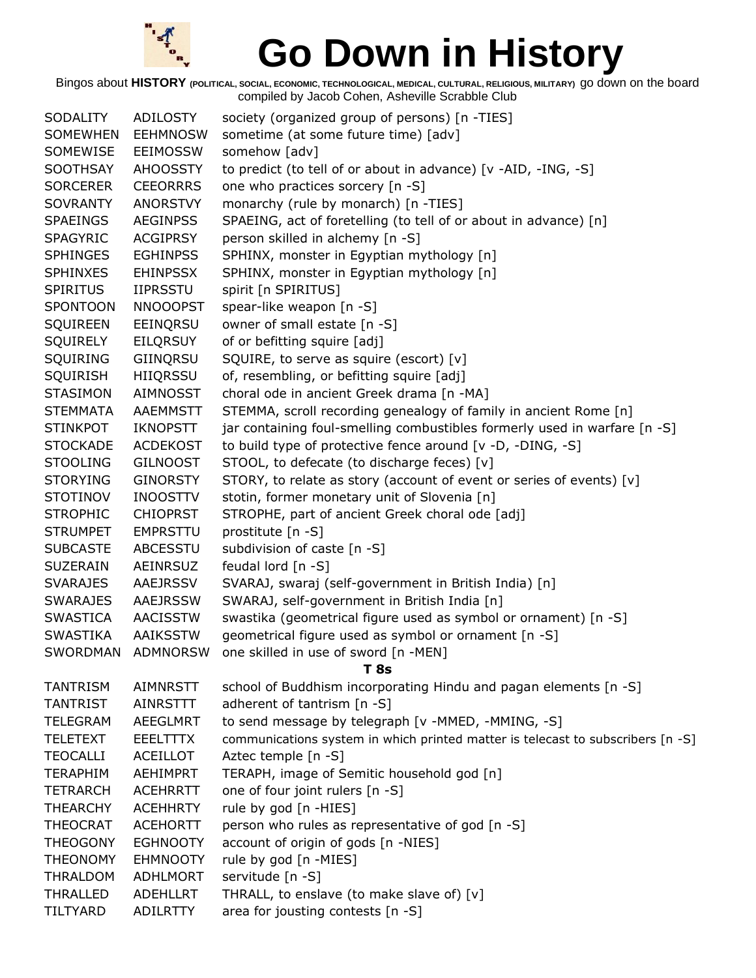

| <b>SODALITY</b> | ADILOSTY        | society (organized group of persons) [n -TIES]                                  |  |
|-----------------|-----------------|---------------------------------------------------------------------------------|--|
| <b>SOMEWHEN</b> | <b>EEHMNOSW</b> | sometime (at some future time) [adv]                                            |  |
| SOMEWISE        | <b>EEIMOSSW</b> | somehow [adv]                                                                   |  |
| SOOTHSAY        | <b>AHOOSSTY</b> | to predict (to tell of or about in advance) [v -AID, -ING, -S]                  |  |
| <b>SORCERER</b> | <b>CEEORRRS</b> | one who practices sorcery [n -S]                                                |  |
| <b>SOVRANTY</b> | <b>ANORSTVY</b> | monarchy (rule by monarch) [n -TIES]                                            |  |
| <b>SPAEINGS</b> | <b>AEGINPSS</b> | SPAEING, act of foretelling (to tell of or about in advance) [n]                |  |
| <b>SPAGYRIC</b> | <b>ACGIPRSY</b> | person skilled in alchemy [n -S]                                                |  |
| <b>SPHINGES</b> | <b>EGHINPSS</b> | SPHINX, monster in Egyptian mythology [n]                                       |  |
| <b>SPHINXES</b> | <b>EHINPSSX</b> | SPHINX, monster in Egyptian mythology [n]                                       |  |
| <b>SPIRITUS</b> | <b>IIPRSSTU</b> | spirit [n SPIRITUS]                                                             |  |
| <b>SPONTOON</b> | <b>NNOOOPST</b> | spear-like weapon [n -S]                                                        |  |
| SQUIREEN        | EEINQRSU        | owner of small estate [n -S]                                                    |  |
| <b>SQUIRELY</b> | <b>EILQRSUY</b> | of or befitting squire [adj]                                                    |  |
| SQUIRING        | GIINQRSU        | SQUIRE, to serve as squire (escort) [v]                                         |  |
| <b>SQUIRISH</b> | HIIQRSSU        | of, resembling, or befitting squire [adj]                                       |  |
| <b>STASIMON</b> | AIMNOSST        | choral ode in ancient Greek drama [n -MA]                                       |  |
| <b>STEMMATA</b> | <b>AAEMMSTT</b> | STEMMA, scroll recording genealogy of family in ancient Rome [n]                |  |
| <b>STINKPOT</b> | <b>IKNOPSTT</b> | jar containing foul-smelling combustibles formerly used in warfare [n -S]       |  |
| <b>STOCKADE</b> | <b>ACDEKOST</b> | to build type of protective fence around [v -D, -DING, -S]                      |  |
| <b>STOOLING</b> | <b>GILNOOST</b> | STOOL, to defecate (to discharge feces) [v]                                     |  |
| <b>STORYING</b> | <b>GINORSTY</b> | STORY, to relate as story (account of event or series of events) [v]            |  |
| <b>STOTINOV</b> | <b>INOOSTTV</b> | stotin, former monetary unit of Slovenia [n]                                    |  |
| <b>STROPHIC</b> | <b>CHIOPRST</b> | STROPHE, part of ancient Greek choral ode [adj]                                 |  |
| <b>STRUMPET</b> | <b>EMPRSTTU</b> | prostitute [n -S]                                                               |  |
| <b>SUBCASTE</b> | ABCESSTU        | subdivision of caste [n -S]                                                     |  |
| <b>SUZERAIN</b> | AEINRSUZ        | feudal lord $[n - S]$                                                           |  |
| <b>SVARAJES</b> | <b>AAEJRSSV</b> | SVARAJ, swaraj (self-government in British India) [n]                           |  |
| <b>SWARAJES</b> | AAEJRSSW        | SWARAJ, self-government in British India [n]                                    |  |
| <b>SWASTICA</b> | <b>AACISSTW</b> | swastika (geometrical figure used as symbol or ornament) [n -S]                 |  |
| <b>SWASTIKA</b> | <b>AAIKSSTW</b> | geometrical figure used as symbol or ornament [n -S]                            |  |
| <b>SWORDMAN</b> | <b>ADMNORSW</b> | one skilled in use of sword [n -MEN]                                            |  |
|                 |                 | T 8s                                                                            |  |
| <b>TANTRISM</b> | <b>AIMNRSTT</b> | school of Buddhism incorporating Hindu and pagan elements [n -S]                |  |
| <b>TANTRIST</b> | AINRSTTT        | adherent of tantrism [n -S]                                                     |  |
| <b>TELEGRAM</b> | <b>AEEGLMRT</b> | to send message by telegraph [v -MMED, -MMING, -S]                              |  |
| <b>TELETEXT</b> | <b>EEELTTTX</b> | communications system in which printed matter is telecast to subscribers [n -S] |  |
| <b>TEOCALLI</b> | <b>ACEILLOT</b> | Aztec temple [n -S]                                                             |  |
| <b>TERAPHIM</b> | <b>AEHIMPRT</b> | TERAPH, image of Semitic household god [n]                                      |  |
| <b>TETRARCH</b> | <b>ACEHRRTT</b> | one of four joint rulers [n -S]                                                 |  |
| <b>THEARCHY</b> | <b>ACEHHRTY</b> | rule by god [n -HIES]                                                           |  |
| <b>THEOCRAT</b> | <b>ACEHORTT</b> | person who rules as representative of god [n -S]                                |  |
| <b>THEOGONY</b> | <b>EGHNOOTY</b> | account of origin of gods [n -NIES]                                             |  |
| <b>THEONOMY</b> | <b>EHMNOOTY</b> | rule by god [n -MIES]                                                           |  |
| <b>THRALDOM</b> | <b>ADHLMORT</b> | servitude [n -S]                                                                |  |
| <b>THRALLED</b> | <b>ADEHLLRT</b> | THRALL, to enslave (to make slave of) [v]                                       |  |
| TILTYARD        | <b>ADILRTTY</b> | area for jousting contests [n -S]                                               |  |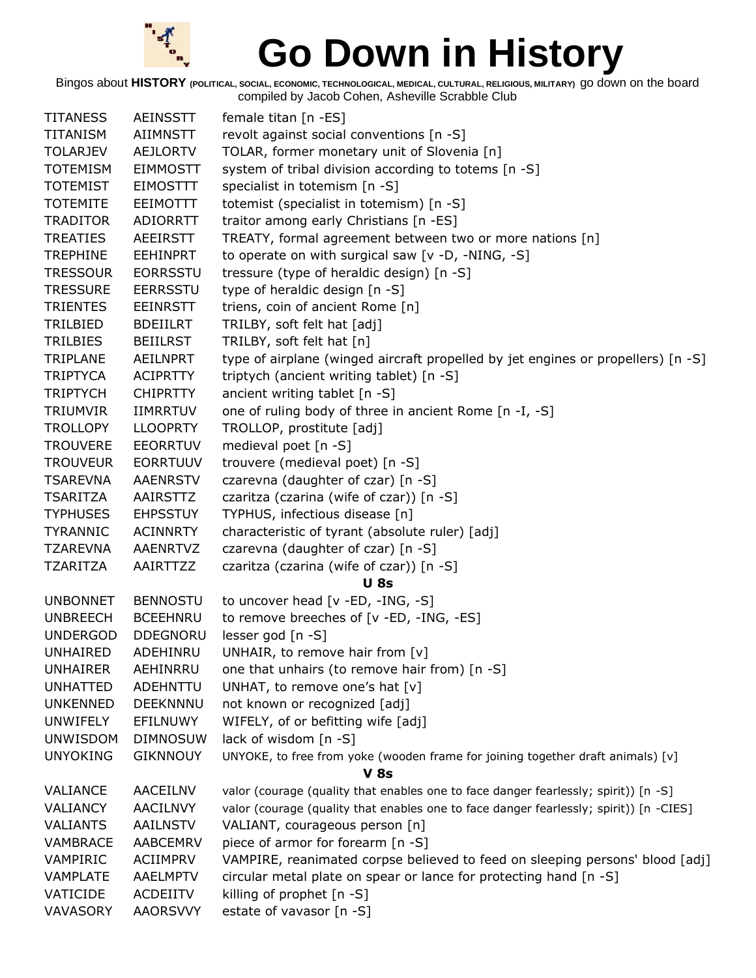

| <b>TITANESS</b> | <b>AEINSSTT</b> | female titan [n -ES]                                                                   |  |
|-----------------|-----------------|----------------------------------------------------------------------------------------|--|
| <b>TITANISM</b> | <b>AIIMNSTT</b> | revolt against social conventions [n -S]                                               |  |
| <b>TOLARJEV</b> | AEJLORTV        | TOLAR, former monetary unit of Slovenia [n]                                            |  |
| <b>TOTEMISM</b> | <b>EIMMOSTT</b> | system of tribal division according to totems [n -S]                                   |  |
| <b>TOTEMIST</b> | <b>EIMOSTTT</b> | specialist in totemism [n -S]                                                          |  |
| <b>TOTEMITE</b> | EEIMOTTT        | totemist (specialist in totemism) [n -S]                                               |  |
| <b>TRADITOR</b> | ADIORRTT        | traitor among early Christians [n -ES]                                                 |  |
| <b>TREATIES</b> | AEEIRSTT        | TREATY, formal agreement between two or more nations [n]                               |  |
| <b>TREPHINE</b> | <b>EEHINPRT</b> | to operate on with surgical saw [v -D, -NING, -S]                                      |  |
| <b>TRESSOUR</b> | <b>EORRSSTU</b> | tressure (type of heraldic design) [n -S]                                              |  |
| <b>TRESSURE</b> | <b>EERRSSTU</b> | type of heraldic design [n -S]                                                         |  |
| <b>TRIENTES</b> | <b>EEINRSTT</b> | triens, coin of ancient Rome [n]                                                       |  |
| TRILBIED        | <b>BDEIILRT</b> | TRILBY, soft felt hat [adj]                                                            |  |
| TRILBIES        | <b>BEIILRST</b> | TRILBY, soft felt hat [n]                                                              |  |
| TRIPLANE        | <b>AEILNPRT</b> | type of airplane (winged aircraft propelled by jet engines or propellers) [n -S]       |  |
| <b>TRIPTYCA</b> | <b>ACIPRTTY</b> | triptych (ancient writing tablet) [n -S]                                               |  |
| <b>TRIPTYCH</b> | <b>CHIPRTTY</b> | ancient writing tablet [n -S]                                                          |  |
| <b>TRIUMVIR</b> | <b>IIMRRTUV</b> | one of ruling body of three in ancient Rome [n -I, -S]                                 |  |
| <b>TROLLOPY</b> | <b>LLOOPRTY</b> | TROLLOP, prostitute [adj]                                                              |  |
| <b>TROUVERE</b> | <b>EEORRTUV</b> | medieval poet [n -S]                                                                   |  |
| <b>TROUVEUR</b> | <b>EORRTUUV</b> | trouvere (medieval poet) [n -S]                                                        |  |
| <b>TSAREVNA</b> | <b>AAENRSTV</b> | czarevna (daughter of czar) [n -S]                                                     |  |
| <b>TSARITZA</b> | AAIRSTTZ        | czaritza (czarina (wife of czar)) [n -S]                                               |  |
| <b>TYPHUSES</b> | <b>EHPSSTUY</b> | TYPHUS, infectious disease [n]                                                         |  |
| <b>TYRANNIC</b> | <b>ACINNRTY</b> | characteristic of tyrant (absolute ruler) [adj]                                        |  |
| <b>TZAREVNA</b> | AAENRTVZ        | czarevna (daughter of czar) [n -S]                                                     |  |
| <b>TZARITZA</b> | AAIRTTZZ        | czaritza (czarina (wife of czar)) [n -S]                                               |  |
|                 |                 | <b>U</b> 8s                                                                            |  |
| <b>UNBONNET</b> | <b>BENNOSTU</b> | to uncover head [v -ED, -ING, -S]                                                      |  |
| <b>UNBREECH</b> | <b>BCEEHNRU</b> | to remove breeches of [v -ED, -ING, -ES]                                               |  |
| <b>UNDERGOD</b> | <b>DDEGNORU</b> | lesser god [n -S]                                                                      |  |
| UNHAIRED        | ADEHINRU        | UNHAIR, to remove hair from $[v]$                                                      |  |
| <b>UNHAIRER</b> | AEHINRRU        | one that unhairs (to remove hair from) [n -S]                                          |  |
| <b>UNHATTED</b> | ADEHNTTU        | UNHAT, to remove one's hat [v]                                                         |  |
| <b>UNKENNED</b> | DEEKNNNU        | not known or recognized [adj]                                                          |  |
| <b>UNWIFELY</b> | EFILNUWY        | WIFELY, of or befitting wife [adj]                                                     |  |
| <b>UNWISDOM</b> | <b>DIMNOSUW</b> | lack of wisdom [n -S]                                                                  |  |
| <b>UNYOKING</b> | <b>GIKNNOUY</b> | UNYOKE, to free from yoke (wooden frame for joining together draft animals) [v]        |  |
|                 |                 | <b>V 8s</b>                                                                            |  |
| VALIANCE        | AACEILNV        | valor (courage (quality that enables one to face danger fearlessly; spirit)) [n -S]    |  |
| VALIANCY        | <b>AACILNVY</b> | valor (courage (quality that enables one to face danger fearlessly; spirit)) [n -CIES] |  |
| <b>VALIANTS</b> | <b>AAILNSTV</b> | VALIANT, courageous person [n]                                                         |  |
| VAMBRACE        | <b>AABCEMRV</b> | piece of armor for forearm [n -S]                                                      |  |
| VAMPIRIC        | <b>ACIIMPRV</b> | VAMPIRE, reanimated corpse believed to feed on sleeping persons' blood [adj]           |  |
| <b>VAMPLATE</b> | AAELMPTV        | circular metal plate on spear or lance for protecting hand [n -S]                      |  |
| VATICIDE        | <b>ACDEIITV</b> | killing of prophet [n -S]                                                              |  |
| VAVASORY        | <b>AAORSVVY</b> | estate of vavasor [n -S]                                                               |  |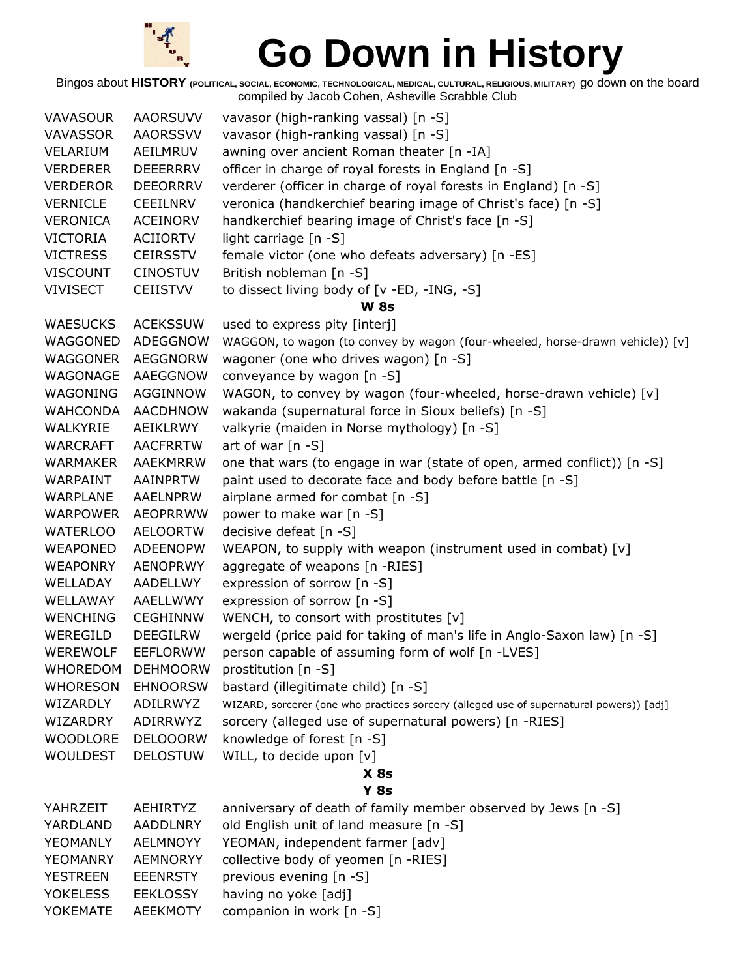

| <b>VAVASOUR</b> | <b>AAORSUVV</b> | vavasor (high-ranking vassal) [n -S]                                                    |  |
|-----------------|-----------------|-----------------------------------------------------------------------------------------|--|
| VAVASSOR        | <b>AAORSSVV</b> | vavasor (high-ranking vassal) [n -S]                                                    |  |
| VELARIUM        | AEILMRUV        | awning over ancient Roman theater [n -IA]                                               |  |
| <b>VERDERER</b> | <b>DEEERRRV</b> | officer in charge of royal forests in England [n -S]                                    |  |
| <b>VERDEROR</b> | <b>DEEORRRV</b> | verderer (officer in charge of royal forests in England) [n -S]                         |  |
| <b>VERNICLE</b> | <b>CEEILNRV</b> | veronica (handkerchief bearing image of Christ's face) [n -S]                           |  |
| <b>VERONICA</b> | <b>ACEINORV</b> | handkerchief bearing image of Christ's face [n -S]                                      |  |
| <b>VICTORIA</b> | <b>ACIIORTV</b> | light carriage [n -S]                                                                   |  |
| <b>VICTRESS</b> | <b>CEIRSSTV</b> | female victor (one who defeats adversary) [n -ES]                                       |  |
| <b>VISCOUNT</b> | <b>CINOSTUV</b> | British nobleman [n -S]                                                                 |  |
| <b>VIVISECT</b> | <b>CEIISTVV</b> | to dissect living body of [v -ED, -ING, -S]                                             |  |
|                 |                 | <b>W</b> 8s                                                                             |  |
| <b>WAESUCKS</b> | <b>ACEKSSUW</b> | used to express pity [interj]                                                           |  |
| WAGGONED        | ADEGGNOW        | WAGGON, to wagon (to convey by wagon (four-wheeled, horse-drawn vehicle)) [v]           |  |
| WAGGONER        | <b>AEGGNORW</b> | wagoner (one who drives wagon) [n -S]                                                   |  |
| WAGONAGE        | AAEGGNOW        | conveyance by wagon [n -S]                                                              |  |
| WAGONING        | <b>AGGINNOW</b> | WAGON, to convey by wagon (four-wheeled, horse-drawn vehicle) [v]                       |  |
| <b>WAHCONDA</b> | <b>AACDHNOW</b> | wakanda (supernatural force in Sioux beliefs) [n -S]                                    |  |
| WALKYRIE        | AEIKLRWY        | valkyrie (maiden in Norse mythology) [n -S]                                             |  |
| <b>WARCRAFT</b> | <b>AACFRRTW</b> | art of war $[n - S]$                                                                    |  |
| <b>WARMAKER</b> | AAEKMRRW        | one that wars (to engage in war (state of open, armed conflict)) [n -S]                 |  |
| WARPAINT        | AAINPRTW        | paint used to decorate face and body before battle [n -S]                               |  |
| WARPLANE        | AAELNPRW        | airplane armed for combat [n -S]                                                        |  |
| <b>WARPOWER</b> | <b>AEOPRRWW</b> | power to make war [n -S]                                                                |  |
| <b>WATERLOO</b> | <b>AELOORTW</b> | decisive defeat [n -S]                                                                  |  |
| <b>WEAPONED</b> | <b>ADEENOPW</b> | WEAPON, to supply with weapon (instrument used in combat) [v]                           |  |
| <b>WEAPONRY</b> | <b>AENOPRWY</b> | aggregate of weapons [n -RIES]                                                          |  |
| WELLADAY        | AADELLWY        | expression of sorrow [n -S]                                                             |  |
| WELLAWAY        | AAELLWWY        | expression of sorrow [n -S]                                                             |  |
| <b>WENCHING</b> | CEGHINNW        | WENCH, to consort with prostitutes [v]                                                  |  |
| WEREGILD        | <b>DEEGILRW</b> | wergeld (price paid for taking of man's life in Anglo-Saxon law) [n -S]                 |  |
| <b>WEREWOLF</b> | <b>EEFLORWW</b> | person capable of assuming form of wolf [n -LVES]                                       |  |
| <b>WHOREDOM</b> | <b>DEHMOORW</b> | prostitution [n -S]                                                                     |  |
| <b>WHORESON</b> | <b>EHNOORSW</b> | bastard (illegitimate child) [n -S]                                                     |  |
| WIZARDLY        | ADILRWYZ        | WIZARD, sorcerer (one who practices sorcery (alleged use of supernatural powers)) [adj] |  |
| WIZARDRY        | ADIRRWYZ        | sorcery (alleged use of supernatural powers) [n -RIES]                                  |  |
| <b>WOODLORE</b> | <b>DELOOORW</b> | knowledge of forest [n -S]                                                              |  |
| <b>WOULDEST</b> | <b>DELOSTUW</b> | WILL, to decide upon [v]                                                                |  |
|                 |                 | $X$ 8s                                                                                  |  |
|                 |                 | $Y$ 8s                                                                                  |  |
| YAHRZEIT        | AEHIRTYZ        | anniversary of death of family member observed by Jews [n -S]                           |  |
| YARDLAND        | AADDLNRY        | old English unit of land measure [n -S]                                                 |  |
| YEOMANLY        | <b>AELMNOYY</b> | YEOMAN, independent farmer [adv]                                                        |  |
| YEOMANRY        | <b>AEMNORYY</b> | collective body of yeomen [n -RIES]                                                     |  |
| <b>YESTREEN</b> | <b>EEENRSTY</b> | previous evening [n -S]                                                                 |  |
| <b>YOKELESS</b> | <b>EEKLOSSY</b> | having no yoke [adj]                                                                    |  |
| YOKEMATE        | <b>AEEKMOTY</b> | companion in work [n -S]                                                                |  |